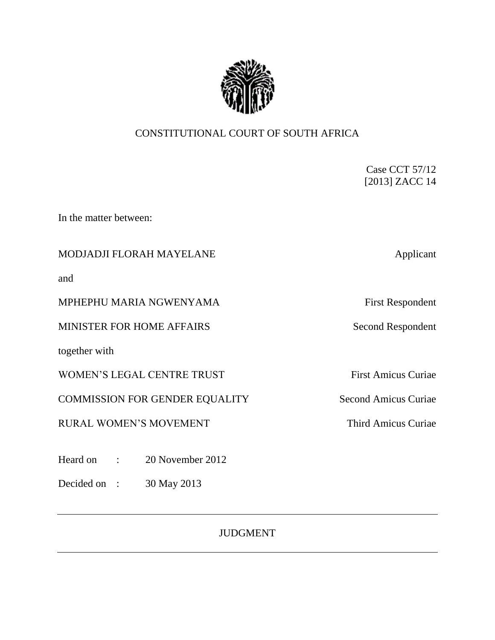

# CONSTITUTIONAL COURT OF SOUTH AFRICA

Case CCT 57/12 [2013] ZACC 14

In the matter between:

## MODJADJI FLORAH MAYELANE Applicant

and

MPHEPHU MARIA NGWENYAMA First Respondent

MINISTER FOR HOME AFFAIRS Second Respondent

together with

WOMEN'S LEGAL CENTRE TRUST First Amicus Curiae

COMMISSION FOR GENDER EQUALITY Second Amicus Curiae

RURAL WOMEN'S MOVEMENT Third Amicus Curiae

Heard on : 20 November 2012

Decided on : 30 May 2013

JUDGMENT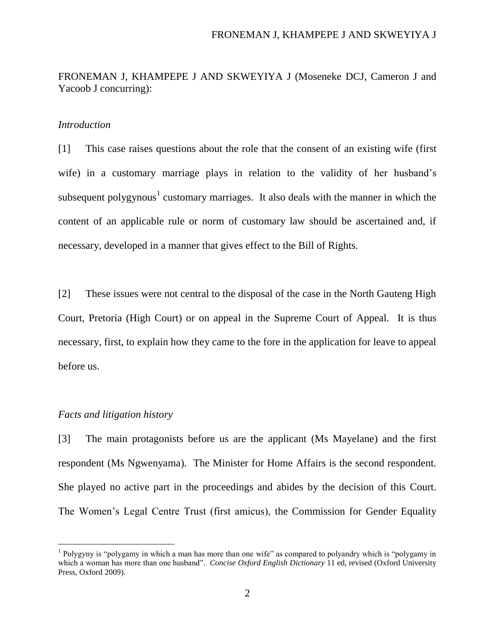FRONEMAN J, KHAMPEPE J AND SKWEYIYA J (Moseneke DCJ, Cameron J and Yacoob J concurring):

### *Introduction*

[1] This case raises questions about the role that the consent of an existing wife (first wife) in a customary marriage plays in relation to the validity of her husband's subsequent polygynous<sup>1</sup> customary marriages. It also deals with the manner in which the content of an applicable rule or norm of customary law should be ascertained and, if necessary, developed in a manner that gives effect to the Bill of Rights.

[2] These issues were not central to the disposal of the case in the North Gauteng High Court, Pretoria (High Court) or on appeal in the Supreme Court of Appeal. It is thus necessary, first, to explain how they came to the fore in the application for leave to appeal before us.

### *Facts and litigation history*

 $\overline{a}$ 

[3] The main protagonists before us are the applicant (Ms Mayelane) and the first respondent (Ms Ngwenyama). The Minister for Home Affairs is the second respondent. She played no active part in the proceedings and abides by the decision of this Court. The Women's Legal Centre Trust (first amicus), the Commission for Gender Equality

<sup>&</sup>lt;sup>1</sup> Polygyny is "polygamy in which a man has more than one wife" as compared to polyandry which is "polygamy in which a woman has more than one husband". *Concise Oxford English Dictionary* 11 ed, revised (Oxford University Press, Oxford 2009).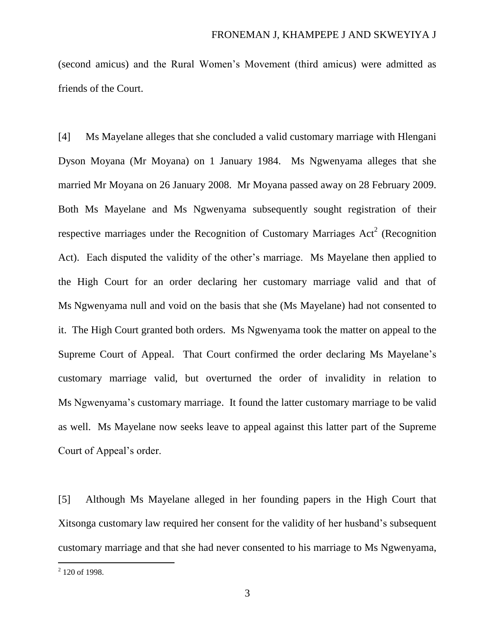(second amicus) and the Rural Women's Movement (third amicus) were admitted as friends of the Court.

[4] Ms Mayelane alleges that she concluded a valid customary marriage with Hlengani Dyson Moyana (Mr Moyana) on 1 January 1984. Ms Ngwenyama alleges that she married Mr Moyana on 26 January 2008. Mr Moyana passed away on 28 February 2009. Both Ms Mayelane and Ms Ngwenyama subsequently sought registration of their respective marriages under the Recognition of Customary Marriages  $Act<sup>2</sup>$  (Recognition Act). Each disputed the validity of the other's marriage. Ms Mayelane then applied to the High Court for an order declaring her customary marriage valid and that of Ms Ngwenyama null and void on the basis that she (Ms Mayelane) had not consented to it. The High Court granted both orders. Ms Ngwenyama took the matter on appeal to the Supreme Court of Appeal. That Court confirmed the order declaring Ms Mayelane's customary marriage valid, but overturned the order of invalidity in relation to Ms Ngwenyama's customary marriage. It found the latter customary marriage to be valid as well. Ms Mayelane now seeks leave to appeal against this latter part of the Supreme Court of Appeal's order.

[5] Although Ms Mayelane alleged in her founding papers in the High Court that Xitsonga customary law required her consent for the validity of her husband's subsequent customary marriage and that she had never consented to his marriage to Ms Ngwenyama,

<sup>&</sup>lt;sup>2</sup> 120 of 1998.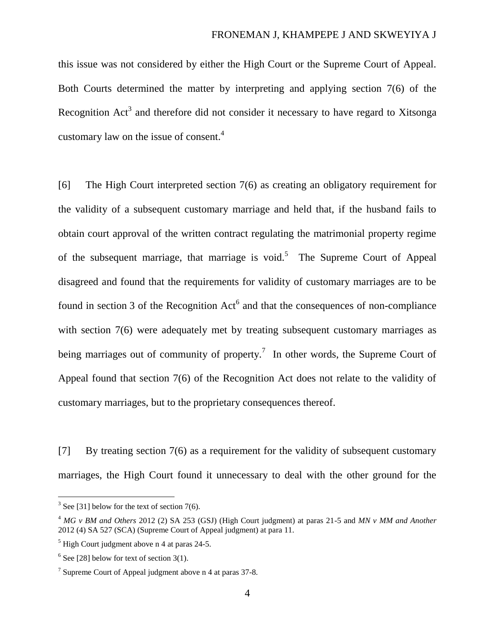this issue was not considered by either the High Court or the Supreme Court of Appeal. Both Courts determined the matter by interpreting and applying section 7(6) of the Recognition  $Act<sup>3</sup>$  and therefore did not consider it necessary to have regard to Xitsonga customary law on the issue of consent. 4

[6] The High Court interpreted section 7(6) as creating an obligatory requirement for the validity of a subsequent customary marriage and held that, if the husband fails to obtain court approval of the written contract regulating the matrimonial property regime of the subsequent marriage, that marriage is void.<sup>5</sup> The Supreme Court of Appeal disagreed and found that the requirements for validity of customary marriages are to be found in section 3 of the Recognition  $Act^6$  and that the consequences of non-compliance with section 7(6) were adequately met by treating subsequent customary marriages as being marriages out of community of property.<sup>7</sup> In other words, the Supreme Court of Appeal found that section 7(6) of the Recognition Act does not relate to the validity of customary marriages, but to the proprietary consequences thereof.

[7] By treating section 7(6) as a requirement for the validity of subsequent customary marriages, the High Court found it unnecessary to deal with the other ground for the

 $3$  Se[e \[31\]](#page-16-0) below for the text of section 7(6).

<sup>4</sup> *MG v BM and Others* 2012 (2) SA 253 (GSJ) (High Court judgment) at paras 21-5 and *MN v MM and Another* 2012 (4) SA 527 (SCA) (Supreme Court of Appeal judgment) at para 11.

 $<sup>5</sup>$  High Court judgment above n 4 at paras 24-5.</sup>

 $6$  Se[e \[28\]](#page-15-0) below for text of section 3(1).

<sup>&</sup>lt;sup>7</sup> Supreme Court of Appeal judgment above n 4 at paras 37-8.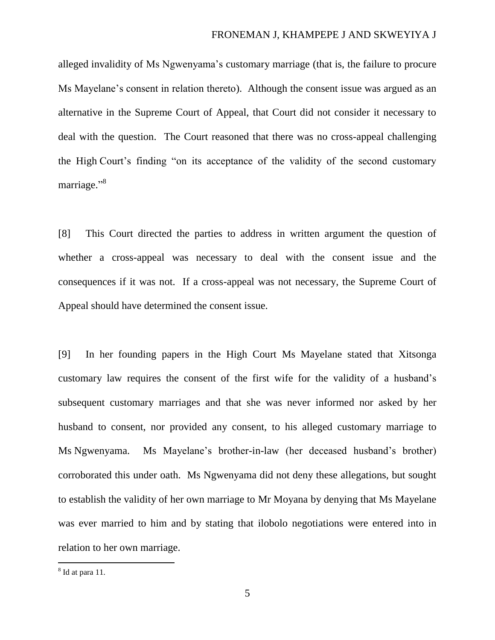alleged invalidity of Ms Ngwenyama's customary marriage (that is, the failure to procure Ms Mayelane's consent in relation thereto). Although the consent issue was argued as an alternative in the Supreme Court of Appeal, that Court did not consider it necessary to deal with the question. The Court reasoned that there was no cross-appeal challenging the High Court's finding "on its acceptance of the validity of the second customary marriage."<sup>8</sup>

[8] This Court directed the parties to address in written argument the question of whether a cross-appeal was necessary to deal with the consent issue and the consequences if it was not. If a cross-appeal was not necessary, the Supreme Court of Appeal should have determined the consent issue.

<span id="page-4-0"></span>[9] In her founding papers in the High Court Ms Mayelane stated that Xitsonga customary law requires the consent of the first wife for the validity of a husband's subsequent customary marriages and that she was never informed nor asked by her husband to consent, nor provided any consent, to his alleged customary marriage to Ms Ngwenyama. Ms Mayelane's brother-in-law (her deceased husband's brother) corroborated this under oath. Ms Ngwenyama did not deny these allegations, but sought to establish the validity of her own marriage to Mr Moyana by denying that Ms Mayelane was ever married to him and by stating that ilobolo negotiations were entered into in relation to her own marriage.

 $\overline{a}$ 

<sup>&</sup>lt;sup>8</sup> Id at para 11.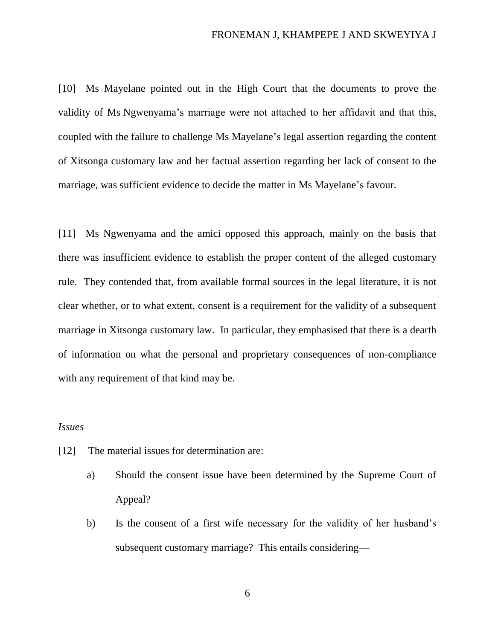[10] Ms Mayelane pointed out in the High Court that the documents to prove the validity of Ms Ngwenyama's marriage were not attached to her affidavit and that this, coupled with the failure to challenge Ms Mayelane's legal assertion regarding the content of Xitsonga customary law and her factual assertion regarding her lack of consent to the marriage, was sufficient evidence to decide the matter in Ms Mayelane's favour.

[11] Ms Ngwenyama and the amici opposed this approach, mainly on the basis that there was insufficient evidence to establish the proper content of the alleged customary rule. They contended that, from available formal sources in the legal literature, it is not clear whether, or to what extent, consent is a requirement for the validity of a subsequent marriage in Xitsonga customary law. In particular, they emphasised that there is a dearth of information on what the personal and proprietary consequences of non-compliance with any requirement of that kind may be.

### *Issues*

- [12] The material issues for determination are:
	- a) Should the consent issue have been determined by the Supreme Court of Appeal?
	- b) Is the consent of a first wife necessary for the validity of her husband's subsequent customary marriage? This entails considering—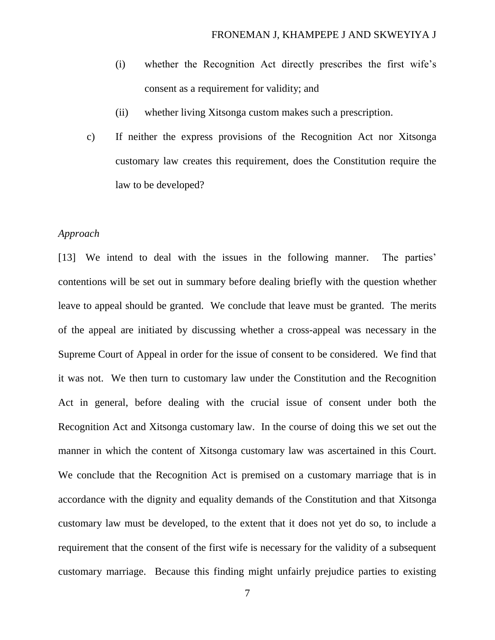- (i) whether the Recognition Act directly prescribes the first wife's consent as a requirement for validity; and
- (ii) whether living Xitsonga custom makes such a prescription.
- c) If neither the express provisions of the Recognition Act nor Xitsonga customary law creates this requirement, does the Constitution require the law to be developed?

### *Approach*

[13] We intend to deal with the issues in the following manner. The parties' contentions will be set out in summary before dealing briefly with the question whether leave to appeal should be granted. We conclude that leave must be granted. The merits of the appeal are initiated by discussing whether a cross-appeal was necessary in the Supreme Court of Appeal in order for the issue of consent to be considered. We find that it was not. We then turn to customary law under the Constitution and the Recognition Act in general, before dealing with the crucial issue of consent under both the Recognition Act and Xitsonga customary law. In the course of doing this we set out the manner in which the content of Xitsonga customary law was ascertained in this Court. We conclude that the Recognition Act is premised on a customary marriage that is in accordance with the dignity and equality demands of the Constitution and that Xitsonga customary law must be developed, to the extent that it does not yet do so, to include a requirement that the consent of the first wife is necessary for the validity of a subsequent customary marriage. Because this finding might unfairly prejudice parties to existing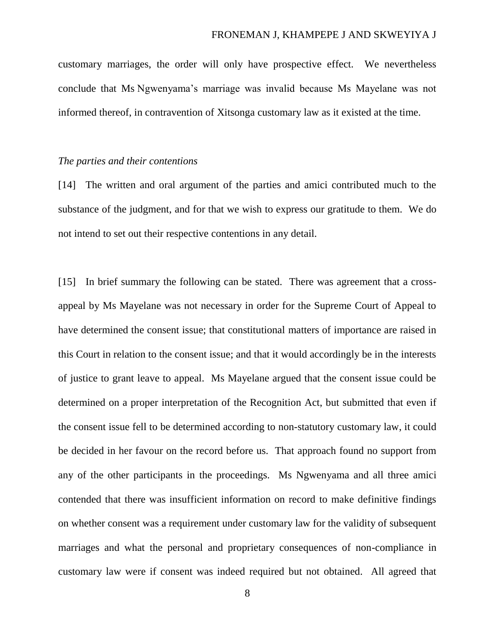customary marriages, the order will only have prospective effect. We nevertheless conclude that Ms Ngwenyama's marriage was invalid because Ms Mayelane was not informed thereof, in contravention of Xitsonga customary law as it existed at the time.

#### *The parties and their contentions*

[14] The written and oral argument of the parties and amici contributed much to the substance of the judgment, and for that we wish to express our gratitude to them. We do not intend to set out their respective contentions in any detail.

[15] In brief summary the following can be stated. There was agreement that a crossappeal by Ms Mayelane was not necessary in order for the Supreme Court of Appeal to have determined the consent issue; that constitutional matters of importance are raised in this Court in relation to the consent issue; and that it would accordingly be in the interests of justice to grant leave to appeal. Ms Mayelane argued that the consent issue could be determined on a proper interpretation of the Recognition Act, but submitted that even if the consent issue fell to be determined according to non-statutory customary law, it could be decided in her favour on the record before us. That approach found no support from any of the other participants in the proceedings. Ms Ngwenyama and all three amici contended that there was insufficient information on record to make definitive findings on whether consent was a requirement under customary law for the validity of subsequent marriages and what the personal and proprietary consequences of non-compliance in customary law were if consent was indeed required but not obtained. All agreed that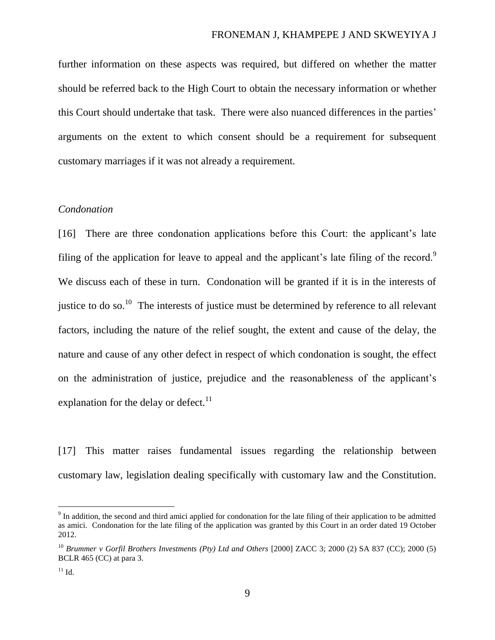further information on these aspects was required, but differed on whether the matter should be referred back to the High Court to obtain the necessary information or whether this Court should undertake that task. There were also nuanced differences in the parties' arguments on the extent to which consent should be a requirement for subsequent customary marriages if it was not already a requirement.

### *Condonation*

[16] There are three condonation applications before this Court: the applicant's late filing of the application for leave to appeal and the applicant's late filing of the record.<sup>9</sup> We discuss each of these in turn. Condonation will be granted if it is in the interests of justice to do so.<sup>10</sup> The interests of justice must be determined by reference to all relevant factors, including the nature of the relief sought, the extent and cause of the delay, the nature and cause of any other defect in respect of which condonation is sought, the effect on the administration of justice, prejudice and the reasonableness of the applicant's explanation for the delay or defect. $^{11}$ 

[17] This matter raises fundamental issues regarding the relationship between customary law, legislation dealing specifically with customary law and the Constitution.

<sup>&</sup>lt;sup>9</sup> In addition, the second and third amici applied for condonation for the late filing of their application to be admitted as amici. Condonation for the late filing of the application was granted by this Court in an order dated 19 October 2012.

<sup>10</sup> *Brummer v Gorfil Brothers Investments (Pty) Ltd and Others* [2000] ZACC 3; 2000 (2) SA 837 (CC); 2000 (5) BCLR 465 (CC) at para 3.

 $^{11}$  Id.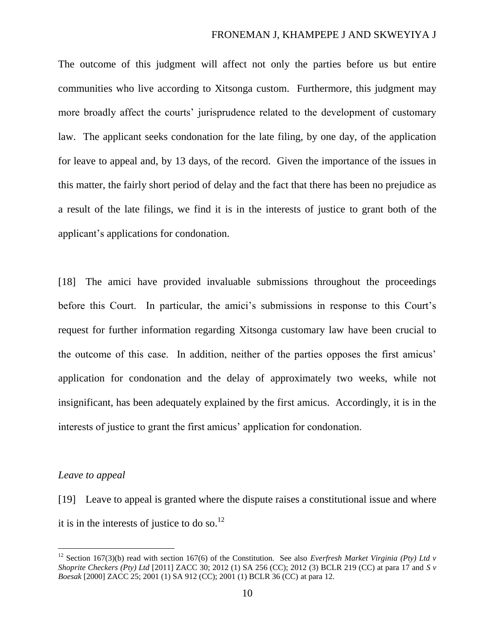The outcome of this judgment will affect not only the parties before us but entire communities who live according to Xitsonga custom. Furthermore, this judgment may more broadly affect the courts' jurisprudence related to the development of customary law. The applicant seeks condonation for the late filing, by one day, of the application for leave to appeal and, by 13 days, of the record. Given the importance of the issues in this matter, the fairly short period of delay and the fact that there has been no prejudice as a result of the late filings, we find it is in the interests of justice to grant both of the applicant's applications for condonation.

[18] The amici have provided invaluable submissions throughout the proceedings before this Court. In particular, the amici's submissions in response to this Court's request for further information regarding Xitsonga customary law have been crucial to the outcome of this case. In addition, neither of the parties opposes the first amicus' application for condonation and the delay of approximately two weeks, while not insignificant, has been adequately explained by the first amicus. Accordingly, it is in the interests of justice to grant the first amicus' application for condonation.

#### *Leave to appeal*

 $\overline{a}$ 

[19] Leave to appeal is granted where the dispute raises a constitutional issue and where it is in the interests of justice to do so.<sup>12</sup>

<sup>&</sup>lt;sup>12</sup> Section 167(3)(b) read with section 167(6) of the Constitution. See also *Everfresh Market Virginia (Pty) Ltd v Shoprite Checkers (Pty) Ltd* [2011] ZACC 30; 2012 (1) SA 256 (CC); 2012 (3) BCLR 219 (CC) at para 17 and *S v Boesak* [2000] ZACC 25; 2001 (1) SA 912 (CC); 2001 (1) BCLR 36 (CC) at para 12.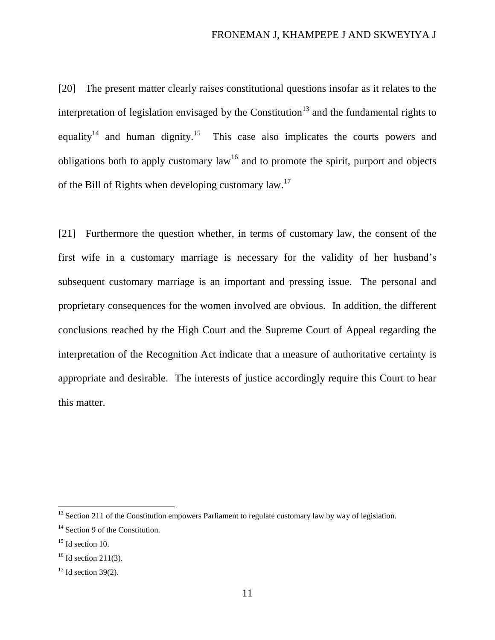[20] The present matter clearly raises constitutional questions insofar as it relates to the interpretation of legislation envisaged by the Constitution<sup>13</sup> and the fundamental rights to equality<sup>14</sup> and human dignity.<sup>15</sup> This case also implicates the courts powers and obligations both to apply customary law<sup>16</sup> and to promote the spirit, purport and objects of the Bill of Rights when developing customary law.<sup>17</sup>

[21] Furthermore the question whether, in terms of customary law, the consent of the first wife in a customary marriage is necessary for the validity of her husband's subsequent customary marriage is an important and pressing issue. The personal and proprietary consequences for the women involved are obvious. In addition, the different conclusions reached by the High Court and the Supreme Court of Appeal regarding the interpretation of the Recognition Act indicate that a measure of authoritative certainty is appropriate and desirable. The interests of justice accordingly require this Court to hear this matter.

 $13$  Section 211 of the Constitution empowers Parliament to regulate customary law by way of legislation.

<sup>&</sup>lt;sup>14</sup> Section 9 of the Constitution.

 $15$  Id section 10.

 $16$  Id section 211(3).

 $17$  Id section 39(2).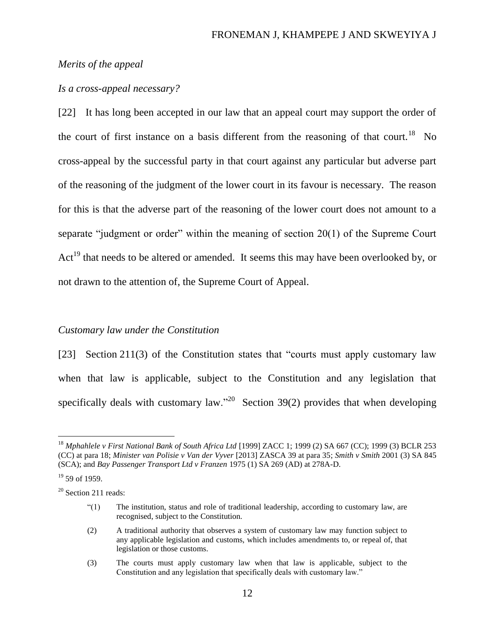### *Merits of the appeal*

### *Is a cross-appeal necessary?*

[22] It has long been accepted in our law that an appeal court may support the order of the court of first instance on a basis different from the reasoning of that court.<sup>18</sup> No cross-appeal by the successful party in that court against any particular but adverse part of the reasoning of the judgment of the lower court in its favour is necessary. The reason for this is that the adverse part of the reasoning of the lower court does not amount to a separate "judgment or order" within the meaning of section 20(1) of the Supreme Court  $Act<sup>19</sup>$  that needs to be altered or amended. It seems this may have been overlooked by, or not drawn to the attention of, the Supreme Court of Appeal.

#### *Customary law under the Constitution*

[23] Section 211(3) of the Constitution states that "courts must apply customary law when that law is applicable, subject to the Constitution and any legislation that specifically deals with customary law."<sup>20</sup> Section 39(2) provides that when developing

 $\overline{a}$ 

<sup>20</sup> Section 211 reads:

<sup>18</sup> *Mphahlele v First National Bank of South Africa Ltd* [1999] ZACC 1; 1999 (2) SA 667 (CC); 1999 (3) BCLR 253 (CC) at para 18; *Minister van Polisie v Van der Vyver* [2013] ZASCA 39 at para 35; *Smith v Smith* 2001 (3) SA 845 (SCA); and *Bay Passenger Transport Ltd v Franzen* 1975 (1) SA 269 (AD) at 278A-D.

 $19$  59 of 1959.

<sup>&</sup>quot;(1) The institution, status and role of traditional leadership, according to customary law, are recognised, subject to the Constitution.

<sup>(2)</sup> A traditional authority that observes a system of customary law may function subject to any applicable legislation and customs, which includes amendments to, or repeal of, that legislation or those customs.

<sup>(3)</sup> The courts must apply customary law when that law is applicable, subject to the Constitution and any legislation that specifically deals with customary law."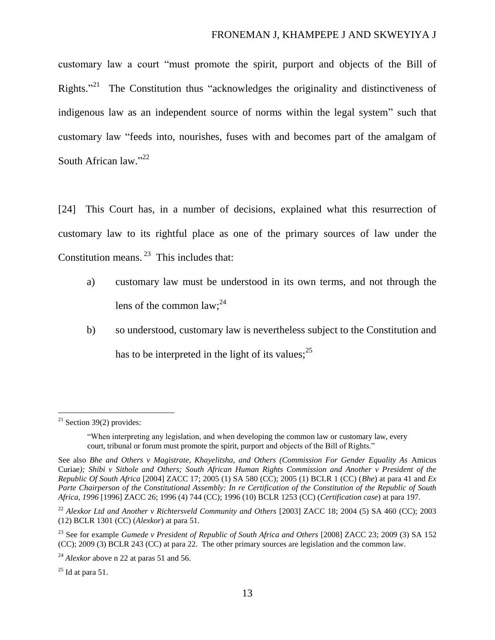<span id="page-12-1"></span>customary law a court "must promote the spirit, purport and objects of the Bill of Rights."<sup>21</sup> The Constitution thus "acknowledges the originality and distinctiveness of indigenous law as an independent source of norms within the legal system" such that customary law "feeds into, nourishes, fuses with and becomes part of the amalgam of South African law."<sup>22</sup>

<span id="page-12-0"></span>[24] This Court has, in a number of decisions, explained what this resurrection of customary law to its rightful place as one of the primary sources of law under the Constitution means.<sup>23</sup> This includes that:

- a) customary law must be understood in its own terms, and not through the lens of the common law;<sup>24</sup>
- b) so understood, customary law is nevertheless subject to the Constitution and has to be interpreted in the light of its values;  $2^5$

 $^{25}$  Id at para 51.

 $21$  Section 39(2) provides:

<sup>&</sup>quot;When interpreting any legislation, and when developing the common law or customary law, every court, tribunal or forum must promote the spirit, purport and objects of the Bill of Rights."

See also *Bhe and Others v Magistrate, Khayelitsha, and Others (Commission For Gender Equality As* Amicus Curiae*); Shibi v Sithole and Others; South African Human Rights Commission and Another v President of the Republic Of South Africa* [2004] ZACC 17; 2005 (1) SA 580 (CC); 2005 (1) BCLR 1 (CC) (*Bhe*) at para 41 and *Ex Parte Chairperson of the Constitutional Assembly: In re Certification of the Constitution of the Republic of South Africa*, *1996* [1996] ZACC 26; 1996 (4) 744 (CC); 1996 (10) BCLR 1253 (CC) (*Certification case*) at para 197.

<sup>&</sup>lt;sup>22</sup> Alexkor Ltd and Another v Richtersveld Community and Others [2003] ZACC 18; 2004 (5) SA 460 (CC); 2003 (12) BCLR 1301 (CC) (*Alexkor*) at para 51.

<sup>23</sup> See for example *Gumede v President of Republic of South Africa and Others* [2008] ZACC 23; 2009 (3) SA 152 (CC); 2009 (3) BCLR 243 (CC) at para 22. The other primary sources are legislation and the common law.

<sup>&</sup>lt;sup>24</sup> *Alexkor* above n [22](#page-12-0) at paras 51 and 56.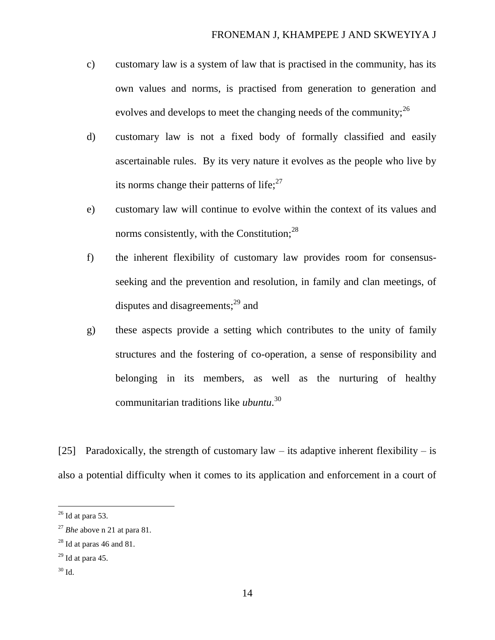- c) customary law is a system of law that is practised in the community, has its own values and norms, is practised from generation to generation and evolves and develops to meet the changing needs of the community;  $2^6$
- d) customary law is not a fixed body of formally classified and easily ascertainable rules. By its very nature it evolves as the people who live by its norms change their patterns of life; $27$
- e) customary law will continue to evolve within the context of its values and norms consistently, with the Constitution; $^{28}$
- f) the inherent flexibility of customary law provides room for consensusseeking and the prevention and resolution, in family and clan meetings, of disputes and disagreements;<sup>29</sup> and
- g) these aspects provide a setting which contributes to the unity of family structures and the fostering of co-operation, a sense of responsibility and belonging in its members, as well as the nurturing of healthy communitarian traditions like *ubuntu*. 30

[25] Paradoxically, the strength of customary law – its adaptive inherent flexibility – is also a potential difficulty when it comes to its application and enforcement in a court of

 $26$  Id at para 53.

<sup>27</sup> *Bhe* above n [21](#page-12-1) at para 81.

 $28$  Id at paras 46 and 81.

 $29$  Id at para 45.

 $30$  Id.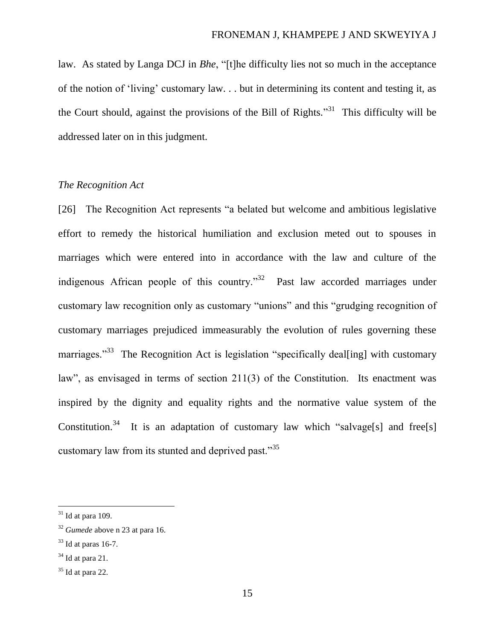law. As stated by Langa DCJ in *Bhe*, "[t]he difficulty lies not so much in the acceptance of the notion of 'living' customary law. . . but in determining its content and testing it, as the Court should, against the provisions of the Bill of Rights.<sup>331</sup> This difficulty will be addressed later on in this judgment.

### *The Recognition Act*

[26] The Recognition Act represents "a belated but welcome and ambitious legislative effort to remedy the historical humiliation and exclusion meted out to spouses in marriages which were entered into in accordance with the law and culture of the indigenous African people of this country."<sup>32</sup> Past law accorded marriages under customary law recognition only as customary "unions" and this "grudging recognition of customary marriages prejudiced immeasurably the evolution of rules governing these marriages."<sup>33</sup> The Recognition Act is legislation "specifically deal[ing] with customary law", as envisaged in terms of section 211(3) of the Constitution. Its enactment was inspired by the dignity and equality rights and the normative value system of the Constitution.<sup>34</sup> It is an adaptation of customary law which "salvage[s] and free[s] customary law from its stunted and deprived past."<sup>35</sup>

 $31$  Id at para 109.

<sup>32</sup> *Gumede* above n 23 at para 16.

 $33$  Id at paras 16-7.

 $34$  Id at para 21.

 $35$  Id at para 22.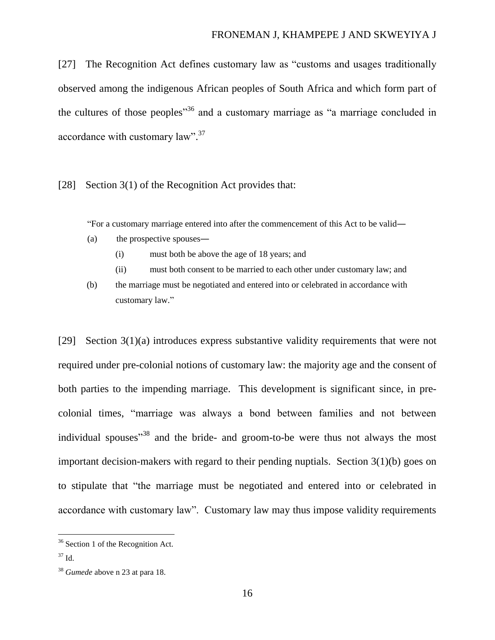[27] The Recognition Act defines customary law as "customs and usages traditionally observed among the indigenous African peoples of South Africa and which form part of the cultures of those peoples<sup> $36$ </sup> and a customary marriage as "a marriage concluded in accordance with customary law".<sup>37</sup>

<span id="page-15-0"></span>[28] Section 3(1) of the Recognition Act provides that:

"For a customary marriage entered into after the commencement of this Act to be valid―

- (a) the prospective spouses―
	- (i) must both be above the age of 18 years; and
	- (ii) must both consent to be married to each other under customary law; and
- (b) the marriage must be negotiated and entered into or celebrated in accordance with customary law."

[29] Section 3(1)(a) introduces express substantive validity requirements that were not required under pre-colonial notions of customary law: the majority age and the consent of both parties to the impending marriage. This development is significant since, in precolonial times, "marriage was always a bond between families and not between individual spouses<sup>38</sup> and the bride- and groom-to-be were thus not always the most important decision-makers with regard to their pending nuptials. Section 3(1)(b) goes on to stipulate that "the marriage must be negotiated and entered into or celebrated in accordance with customary law". Customary law may thus impose validity requirements

 $\overline{a}$ 

<sup>&</sup>lt;sup>36</sup> Section 1 of the Recognition Act.

 $37 \text{ Id}$ 

<sup>38</sup> *Gumede* above n 23 at para 18.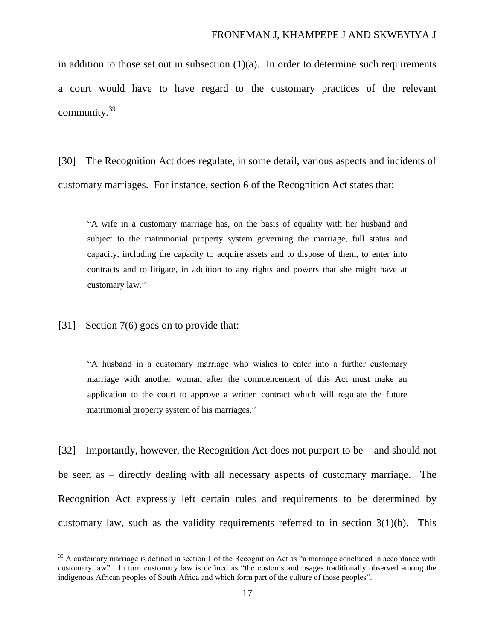in addition to those set out in subsection  $(1)(a)$ . In order to determine such requirements a court would have to have regard to the customary practices of the relevant community.<sup>39</sup>

[30] The Recognition Act does regulate, in some detail, various aspects and incidents of customary marriages. For instance, section 6 of the Recognition Act states that:

"A wife in a customary marriage has, on the basis of equality with her husband and subject to the matrimonial property system governing the marriage, full status and capacity, including the capacity to acquire assets and to dispose of them, to enter into contracts and to litigate, in addition to any rights and powers that she might have at customary law."

<span id="page-16-0"></span>[31] Section 7(6) goes on to provide that:

 $\overline{a}$ 

"A husband in a customary marriage who wishes to enter into a further customary marriage with another woman after the commencement of this Act must make an application to the court to approve a written contract which will regulate the future matrimonial property system of his marriages."

[32] Importantly, however, the Recognition Act does not purport to be – and should not be seen as – directly dealing with all necessary aspects of customary marriage. The Recognition Act expressly left certain rules and requirements to be determined by customary law, such as the validity requirements referred to in section  $3(1)(b)$ . This

<sup>&</sup>lt;sup>39</sup> A customary marriage is defined in section 1 of the Recognition Act as "a marriage concluded in accordance with customary law". In turn customary law is defined as "the customs and usages traditionally observed among the indigenous African peoples of South Africa and which form part of the culture of those peoples".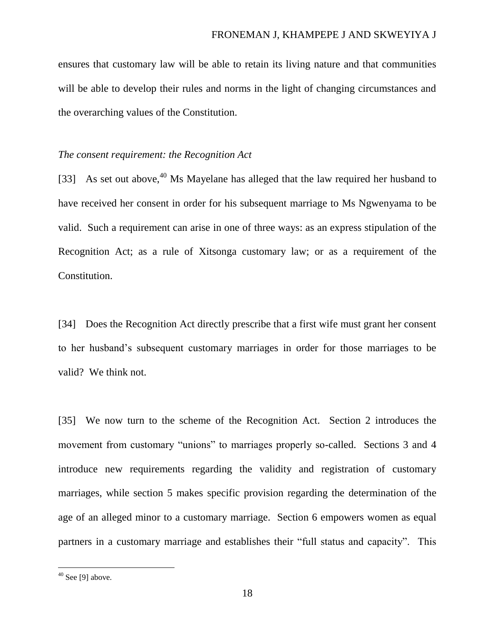ensures that customary law will be able to retain its living nature and that communities will be able to develop their rules and norms in the light of changing circumstances and the overarching values of the Constitution.

### *The consent requirement: the Recognition Act*

[33] As set out above, $40$  Ms Mayelane has alleged that the law required her husband to have received her consent in order for his subsequent marriage to Ms Ngwenyama to be valid. Such a requirement can arise in one of three ways: as an express stipulation of the Recognition Act; as a rule of Xitsonga customary law; or as a requirement of the Constitution.

[34] Does the Recognition Act directly prescribe that a first wife must grant her consent to her husband's subsequent customary marriages in order for those marriages to be valid? We think not.

[35] We now turn to the scheme of the Recognition Act. Section 2 introduces the movement from customary "unions" to marriages properly so-called. Sections 3 and 4 introduce new requirements regarding the validity and registration of customary marriages, while section 5 makes specific provision regarding the determination of the age of an alleged minor to a customary marriage. Section 6 empowers women as equal partners in a customary marriage and establishes their "full status and capacity". This

 $\overline{a}$ 

 $40$  See [\[9\]](#page-4-0) above.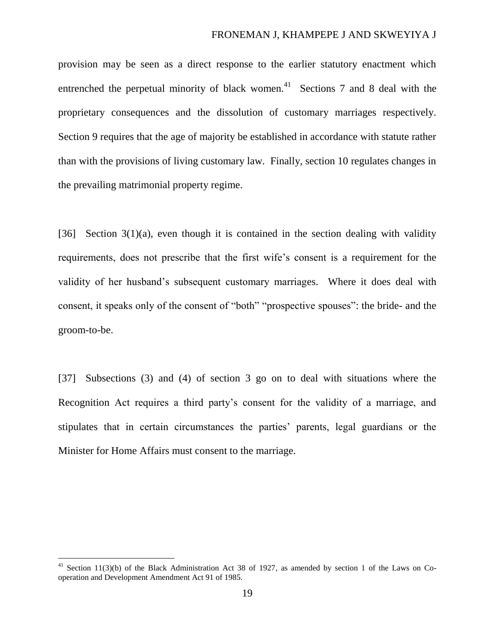provision may be seen as a direct response to the earlier statutory enactment which entrenched the perpetual minority of black women.<sup>41</sup> Sections 7 and 8 deal with the proprietary consequences and the dissolution of customary marriages respectively. Section 9 requires that the age of majority be established in accordance with statute rather than with the provisions of living customary law. Finally, section 10 regulates changes in the prevailing matrimonial property regime.

[36] Section  $3(1)(a)$ , even though it is contained in the section dealing with validity requirements, does not prescribe that the first wife's consent is a requirement for the validity of her husband's subsequent customary marriages. Where it does deal with consent, it speaks only of the consent of "both" "prospective spouses": the bride- and the groom-to-be.

[37] Subsections (3) and (4) of section 3 go on to deal with situations where the Recognition Act requires a third party's consent for the validity of a marriage, and stipulates that in certain circumstances the parties' parents, legal guardians or the Minister for Home Affairs must consent to the marriage.

<sup>&</sup>lt;sup>41</sup> Section 11(3)(b) of the Black Administration Act 38 of 1927, as amended by section 1 of the Laws on Cooperation and Development Amendment Act 91 of 1985.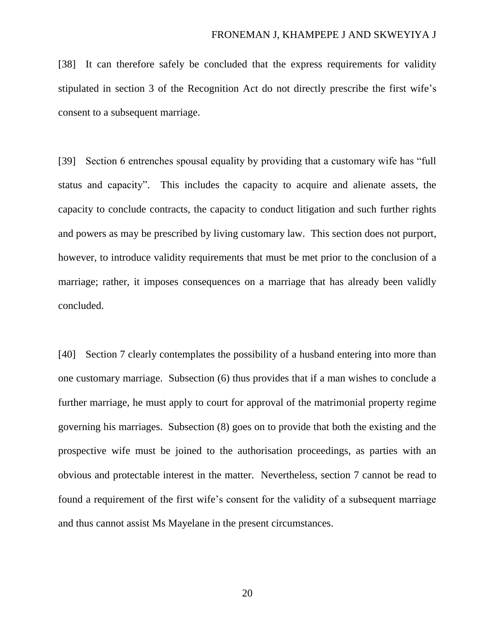[38] It can therefore safely be concluded that the express requirements for validity stipulated in section 3 of the Recognition Act do not directly prescribe the first wife's consent to a subsequent marriage.

[39] Section 6 entrenches spousal equality by providing that a customary wife has "full status and capacity". This includes the capacity to acquire and alienate assets, the capacity to conclude contracts, the capacity to conduct litigation and such further rights and powers as may be prescribed by living customary law. This section does not purport, however, to introduce validity requirements that must be met prior to the conclusion of a marriage; rather, it imposes consequences on a marriage that has already been validly concluded.

[40] Section 7 clearly contemplates the possibility of a husband entering into more than one customary marriage. Subsection (6) thus provides that if a man wishes to conclude a further marriage, he must apply to court for approval of the matrimonial property regime governing his marriages. Subsection (8) goes on to provide that both the existing and the prospective wife must be joined to the authorisation proceedings, as parties with an obvious and protectable interest in the matter. Nevertheless, section 7 cannot be read to found a requirement of the first wife's consent for the validity of a subsequent marriage and thus cannot assist Ms Mayelane in the present circumstances.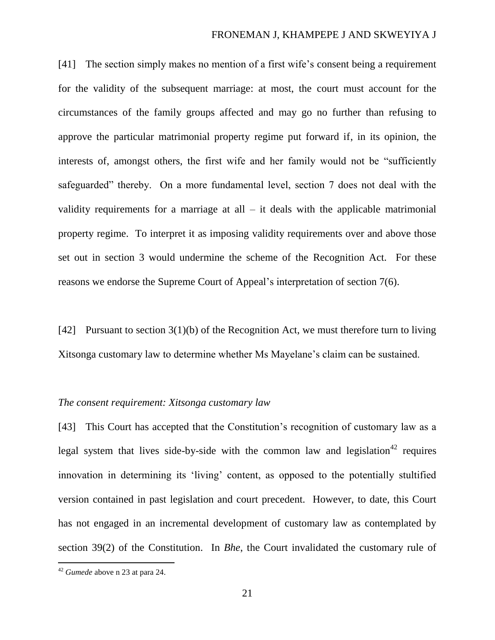[41] The section simply makes no mention of a first wife's consent being a requirement for the validity of the subsequent marriage: at most, the court must account for the circumstances of the family groups affected and may go no further than refusing to approve the particular matrimonial property regime put forward if, in its opinion, the interests of, amongst others, the first wife and her family would not be "sufficiently safeguarded" thereby. On a more fundamental level, section 7 does not deal with the validity requirements for a marriage at all  $-$  it deals with the applicable matrimonial property regime. To interpret it as imposing validity requirements over and above those set out in section 3 would undermine the scheme of the Recognition Act. For these reasons we endorse the Supreme Court of Appeal's interpretation of section 7(6).

[42] Pursuant to section 3(1)(b) of the Recognition Act, we must therefore turn to living Xitsonga customary law to determine whether Ms Mayelane's claim can be sustained.

### *The consent requirement: Xitsonga customary law*

[43] This Court has accepted that the Constitution's recognition of customary law as a legal system that lives side-by-side with the common law and legislation<sup>42</sup> requires innovation in determining its 'living' content, as opposed to the potentially stultified version contained in past legislation and court precedent. However, to date, this Court has not engaged in an incremental development of customary law as contemplated by section 39(2) of the Constitution. In *Bhe*, the Court invalidated the customary rule of

 $\overline{a}$ 

<sup>42</sup> *Gumede* above n 23 at para 24.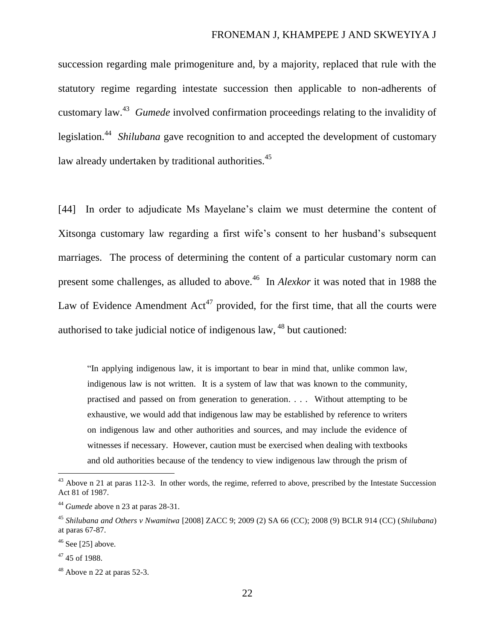succession regarding male primogeniture and, by a majority, replaced that rule with the statutory regime regarding intestate succession then applicable to non-adherents of customary law. <sup>43</sup> *Gumede* involved confirmation proceedings relating to the invalidity of legislation. <sup>44</sup> *Shilubana* gave recognition to and accepted the development of customary law already undertaken by traditional authorities.<sup>45</sup>

<span id="page-21-0"></span>[44] In order to adjudicate Ms Mayelane's claim we must determine the content of Xitsonga customary law regarding a first wife's consent to her husband's subsequent marriages. The process of determining the content of a particular customary norm can present some challenges, as alluded to above.<sup>46</sup> In *Alexkor* it was noted that in 1988 the Law of Evidence Amendment  $Act^{47}$  provided, for the first time, that all the courts were authorised to take judicial notice of indigenous law, <sup>48</sup> but cautioned:

"In applying indigenous law, it is important to bear in mind that, unlike common law, indigenous law is not written. It is a system of law that was known to the community, practised and passed on from generation to generation. . . . Without attempting to be exhaustive, we would add that indigenous law may be established by reference to writers on indigenous law and other authorities and sources, and may include the evidence of witnesses if necessary. However, caution must be exercised when dealing with textbooks and old authorities because of the tendency to view indigenous law through the prism of

 $43$  Above n [21](#page-12-1) at paras 112-3. In other words, the regime, referred to above, prescribed by the Intestate Succession Act 81 of 1987.

<sup>44</sup> *Gumede* above n 23 at paras 28-31.

<sup>45</sup> *Shilubana and Others v Nwamitwa* [2008] ZACC 9; 2009 (2) SA 66 (CC); 2008 (9) BCLR 914 (CC) (*Shilubana*) at paras 67-87.

 $46$  See [25] above.

 $47,45$  of 1988.

 $48$  Above [n 22](#page-12-0) at paras 52-3.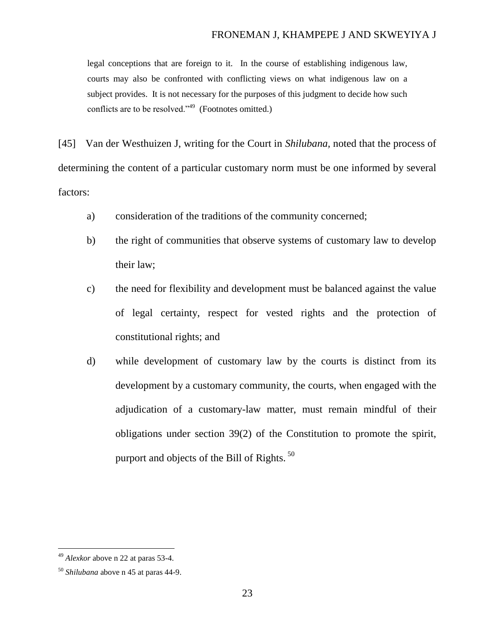legal conceptions that are foreign to it. In the course of establishing indigenous law, courts may also be confronted with conflicting views on what indigenous law on a subject provides. It is not necessary for the purposes of this judgment to decide how such conflicts are to be resolved."<sup>49</sup> (Footnotes omitted.)

[45] Van der Westhuizen J, writing for the Court in *Shilubana,* noted that the process of determining the content of a particular customary norm must be one informed by several factors:

- a) consideration of the traditions of the community concerned;
- b) the right of communities that observe systems of customary law to develop their law;
- c) the need for flexibility and development must be balanced against the value of legal certainty, respect for vested rights and the protection of constitutional rights; and
- d) while development of customary law by the courts is distinct from its development by a customary community, the courts, when engaged with the adjudication of a customary-law matter, must remain mindful of their obligations under section 39(2) of the Constitution to promote the spirit, purport and objects of the Bill of Rights.<sup>50</sup>

<sup>49</sup> *Alexkor* above n [22](#page-12-0) at paras 53-4.

<sup>50</sup> *Shilubana* above n [45](#page-21-0) at paras 44-9.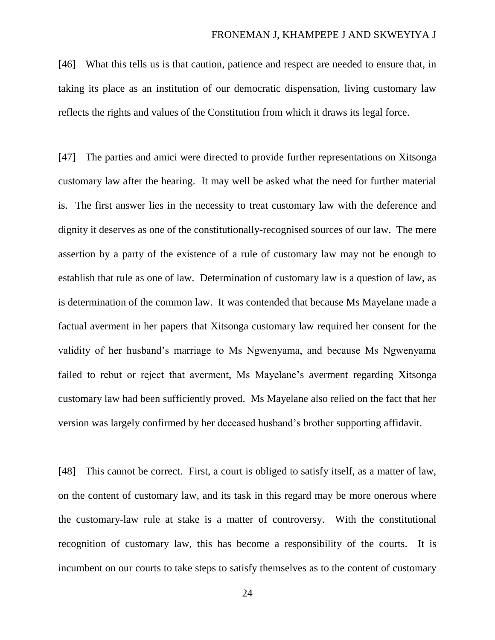[46] What this tells us is that caution, patience and respect are needed to ensure that, in taking its place as an institution of our democratic dispensation, living customary law reflects the rights and values of the Constitution from which it draws its legal force.

[47] The parties and amici were directed to provide further representations on Xitsonga customary law after the hearing. It may well be asked what the need for further material is. The first answer lies in the necessity to treat customary law with the deference and dignity it deserves as one of the constitutionally-recognised sources of our law. The mere assertion by a party of the existence of a rule of customary law may not be enough to establish that rule as one of law. Determination of customary law is a question of law, as is determination of the common law. It was contended that because Ms Mayelane made a factual averment in her papers that Xitsonga customary law required her consent for the validity of her husband's marriage to Ms Ngwenyama, and because Ms Ngwenyama failed to rebut or reject that averment, Ms Mayelane's averment regarding Xitsonga customary law had been sufficiently proved. Ms Mayelane also relied on the fact that her version was largely confirmed by her deceased husband's brother supporting affidavit.

[48] This cannot be correct. First, a court is obliged to satisfy itself, as a matter of law, on the content of customary law, and its task in this regard may be more onerous where the customary-law rule at stake is a matter of controversy. With the constitutional recognition of customary law, this has become a responsibility of the courts. It is incumbent on our courts to take steps to satisfy themselves as to the content of customary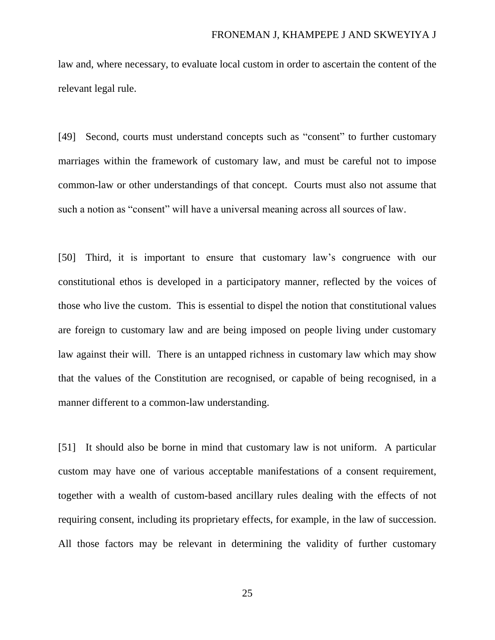law and, where necessary, to evaluate local custom in order to ascertain the content of the relevant legal rule.

[49] Second, courts must understand concepts such as "consent" to further customary marriages within the framework of customary law, and must be careful not to impose common-law or other understandings of that concept. Courts must also not assume that such a notion as "consent" will have a universal meaning across all sources of law.

[50] Third, it is important to ensure that customary law's congruence with our constitutional ethos is developed in a participatory manner, reflected by the voices of those who live the custom. This is essential to dispel the notion that constitutional values are foreign to customary law and are being imposed on people living under customary law against their will. There is an untapped richness in customary law which may show that the values of the Constitution are recognised, or capable of being recognised, in a manner different to a common-law understanding.

[51] It should also be borne in mind that customary law is not uniform. A particular custom may have one of various acceptable manifestations of a consent requirement, together with a wealth of custom-based ancillary rules dealing with the effects of not requiring consent, including its proprietary effects, for example, in the law of succession. All those factors may be relevant in determining the validity of further customary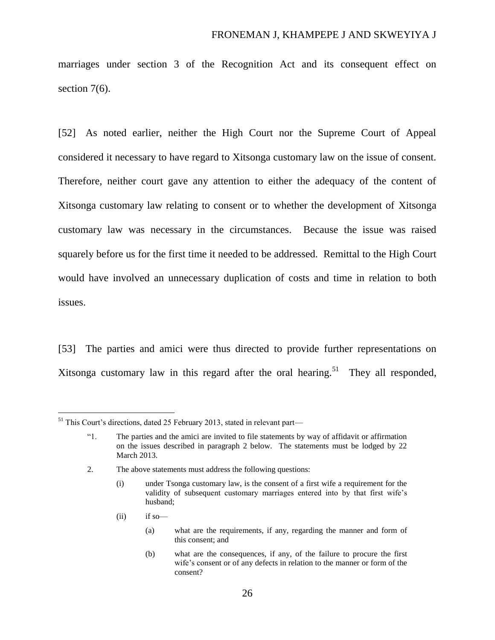marriages under section 3 of the Recognition Act and its consequent effect on section 7(6).

[52] As noted earlier, neither the High Court nor the Supreme Court of Appeal considered it necessary to have regard to Xitsonga customary law on the issue of consent. Therefore, neither court gave any attention to either the adequacy of the content of Xitsonga customary law relating to consent or to whether the development of Xitsonga customary law was necessary in the circumstances. Because the issue was raised squarely before us for the first time it needed to be addressed. Remittal to the High Court would have involved an unnecessary duplication of costs and time in relation to both issues.

[53] The parties and amici were thus directed to provide further representations on Xitsonga customary law in this regard after the oral hearing.<sup>51</sup> They all responded,

 $(ii)$  if so—

<sup>&</sup>lt;sup>51</sup> This Court's directions, dated 25 February 2013, stated in relevant part—

<sup>&</sup>quot;1. The parties and the amici are invited to file statements by way of affidavit or affirmation on the issues described in paragraph 2 below. The statements must be lodged by 22 March 2013.

<sup>2.</sup> The above statements must address the following questions:

<sup>(</sup>i) under Tsonga customary law, is the consent of a first wife a requirement for the validity of subsequent customary marriages entered into by that first wife's husband;

<sup>(</sup>a) what are the requirements, if any, regarding the manner and form of this consent; and

<sup>(</sup>b) what are the consequences, if any, of the failure to procure the first wife's consent or of any defects in relation to the manner or form of the consent?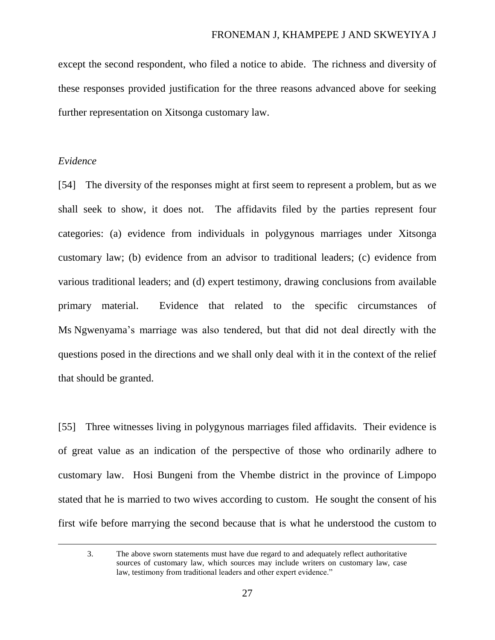except the second respondent, who filed a notice to abide. The richness and diversity of these responses provided justification for the three reasons advanced above for seeking further representation on Xitsonga customary law.

### *Evidence*

 $\overline{a}$ 

[54] The diversity of the responses might at first seem to represent a problem, but as we shall seek to show, it does not. The affidavits filed by the parties represent four categories: (a) evidence from individuals in polygynous marriages under Xitsonga customary law; (b) evidence from an advisor to traditional leaders; (c) evidence from various traditional leaders; and (d) expert testimony, drawing conclusions from available primary material. Evidence that related to the specific circumstances of Ms Ngwenyama's marriage was also tendered, but that did not deal directly with the questions posed in the directions and we shall only deal with it in the context of the relief that should be granted.

[55] Three witnesses living in polygynous marriages filed affidavits. Their evidence is of great value as an indication of the perspective of those who ordinarily adhere to customary law. Hosi Bungeni from the Vhembe district in the province of Limpopo stated that he is married to two wives according to custom. He sought the consent of his first wife before marrying the second because that is what he understood the custom to

3. The above sworn statements must have due regard to and adequately reflect authoritative sources of customary law, which sources may include writers on customary law, case law, testimony from traditional leaders and other expert evidence."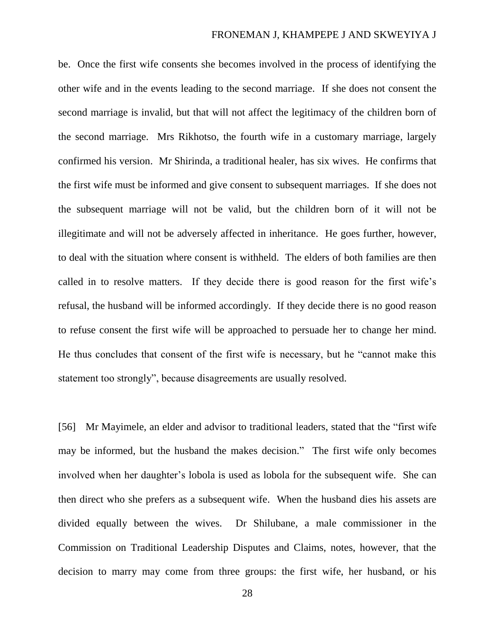be. Once the first wife consents she becomes involved in the process of identifying the other wife and in the events leading to the second marriage. If she does not consent the second marriage is invalid, but that will not affect the legitimacy of the children born of the second marriage. Mrs Rikhotso, the fourth wife in a customary marriage, largely confirmed his version. Mr Shirinda, a traditional healer, has six wives. He confirms that the first wife must be informed and give consent to subsequent marriages. If she does not the subsequent marriage will not be valid, but the children born of it will not be illegitimate and will not be adversely affected in inheritance. He goes further, however, to deal with the situation where consent is withheld. The elders of both families are then called in to resolve matters. If they decide there is good reason for the first wife's refusal, the husband will be informed accordingly. If they decide there is no good reason to refuse consent the first wife will be approached to persuade her to change her mind. He thus concludes that consent of the first wife is necessary, but he "cannot make this statement too strongly", because disagreements are usually resolved.

[56] Mr Mayimele, an elder and advisor to traditional leaders, stated that the "first wife may be informed, but the husband the makes decision." The first wife only becomes involved when her daughter's lobola is used as lobola for the subsequent wife. She can then direct who she prefers as a subsequent wife. When the husband dies his assets are divided equally between the wives. Dr Shilubane, a male commissioner in the Commission on Traditional Leadership Disputes and Claims, notes, however, that the decision to marry may come from three groups: the first wife, her husband, or his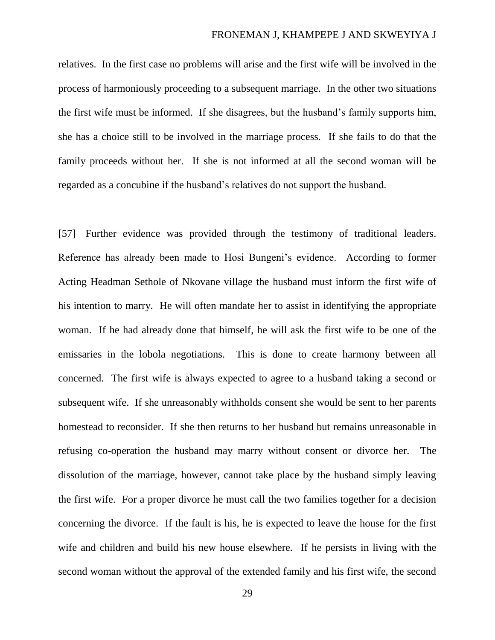relatives. In the first case no problems will arise and the first wife will be involved in the process of harmoniously proceeding to a subsequent marriage. In the other two situations the first wife must be informed. If she disagrees, but the husband's family supports him, she has a choice still to be involved in the marriage process. If she fails to do that the family proceeds without her. If she is not informed at all the second woman will be regarded as a concubine if the husband's relatives do not support the husband.

[57] Further evidence was provided through the testimony of traditional leaders. Reference has already been made to Hosi Bungeni's evidence. According to former Acting Headman Sethole of Nkovane village the husband must inform the first wife of his intention to marry. He will often mandate her to assist in identifying the appropriate woman. If he had already done that himself, he will ask the first wife to be one of the emissaries in the lobola negotiations. This is done to create harmony between all concerned. The first wife is always expected to agree to a husband taking a second or subsequent wife. If she unreasonably withholds consent she would be sent to her parents homestead to reconsider. If she then returns to her husband but remains unreasonable in refusing co-operation the husband may marry without consent or divorce her. The dissolution of the marriage, however, cannot take place by the husband simply leaving the first wife. For a proper divorce he must call the two families together for a decision concerning the divorce. If the fault is his, he is expected to leave the house for the first wife and children and build his new house elsewhere. If he persists in living with the second woman without the approval of the extended family and his first wife, the second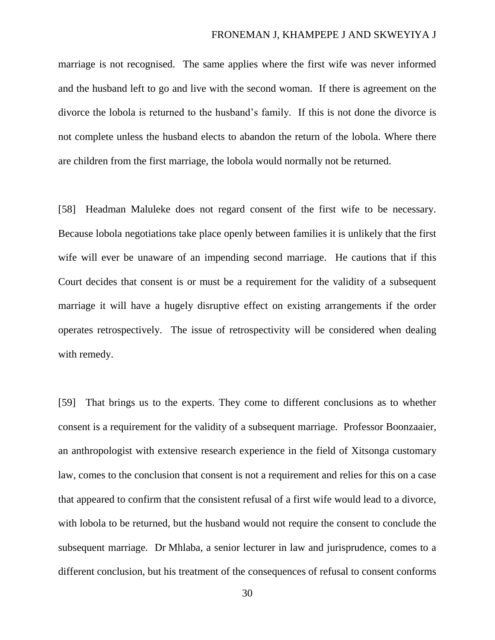marriage is not recognised. The same applies where the first wife was never informed and the husband left to go and live with the second woman. If there is agreement on the divorce the lobola is returned to the husband's family. If this is not done the divorce is not complete unless the husband elects to abandon the return of the lobola. Where there are children from the first marriage, the lobola would normally not be returned.

[58] Headman Maluleke does not regard consent of the first wife to be necessary. Because lobola negotiations take place openly between families it is unlikely that the first wife will ever be unaware of an impending second marriage. He cautions that if this Court decides that consent is or must be a requirement for the validity of a subsequent marriage it will have a hugely disruptive effect on existing arrangements if the order operates retrospectively. The issue of retrospectivity will be considered when dealing with remedy.

[59] That brings us to the experts. They come to different conclusions as to whether consent is a requirement for the validity of a subsequent marriage. Professor Boonzaaier, an anthropologist with extensive research experience in the field of Xitsonga customary law, comes to the conclusion that consent is not a requirement and relies for this on a case that appeared to confirm that the consistent refusal of a first wife would lead to a divorce, with lobola to be returned, but the husband would not require the consent to conclude the subsequent marriage. Dr Mhlaba, a senior lecturer in law and jurisprudence, comes to a different conclusion, but his treatment of the consequences of refusal to consent conforms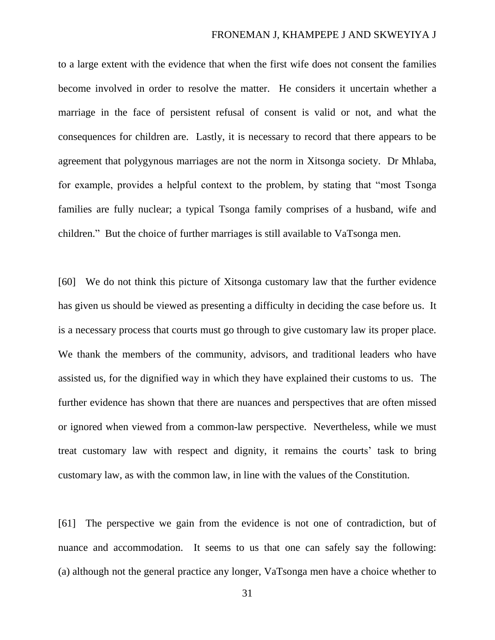to a large extent with the evidence that when the first wife does not consent the families become involved in order to resolve the matter. He considers it uncertain whether a marriage in the face of persistent refusal of consent is valid or not, and what the consequences for children are. Lastly, it is necessary to record that there appears to be agreement that polygynous marriages are not the norm in Xitsonga society. Dr Mhlaba, for example, provides a helpful context to the problem, by stating that "most Tsonga families are fully nuclear; a typical Tsonga family comprises of a husband, wife and children." But the choice of further marriages is still available to VaTsonga men.

[60] We do not think this picture of Xitsonga customary law that the further evidence has given us should be viewed as presenting a difficulty in deciding the case before us. It is a necessary process that courts must go through to give customary law its proper place. We thank the members of the community, advisors, and traditional leaders who have assisted us, for the dignified way in which they have explained their customs to us. The further evidence has shown that there are nuances and perspectives that are often missed or ignored when viewed from a common-law perspective. Nevertheless, while we must treat customary law with respect and dignity, it remains the courts' task to bring customary law, as with the common law, in line with the values of the Constitution.

[61] The perspective we gain from the evidence is not one of contradiction, but of nuance and accommodation. It seems to us that one can safely say the following: (a) although not the general practice any longer, VaTsonga men have a choice whether to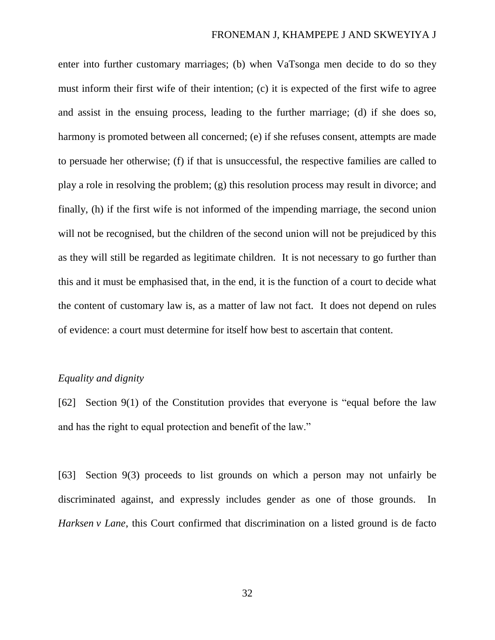enter into further customary marriages; (b) when VaTsonga men decide to do so they must inform their first wife of their intention; (c) it is expected of the first wife to agree and assist in the ensuing process, leading to the further marriage; (d) if she does so, harmony is promoted between all concerned; (e) if she refuses consent, attempts are made to persuade her otherwise; (f) if that is unsuccessful, the respective families are called to play a role in resolving the problem; (g) this resolution process may result in divorce; and finally, (h) if the first wife is not informed of the impending marriage, the second union will not be recognised, but the children of the second union will not be prejudiced by this as they will still be regarded as legitimate children. It is not necessary to go further than this and it must be emphasised that, in the end, it is the function of a court to decide what the content of customary law is, as a matter of law not fact. It does not depend on rules of evidence: a court must determine for itself how best to ascertain that content.

### *Equality and dignity*

[62] Section 9(1) of the Constitution provides that everyone is "equal before the law and has the right to equal protection and benefit of the law."

[63] Section 9(3) proceeds to list grounds on which a person may not unfairly be discriminated against, and expressly includes gender as one of those grounds. In *Harksen v Lane*, this Court confirmed that discrimination on a listed ground is de facto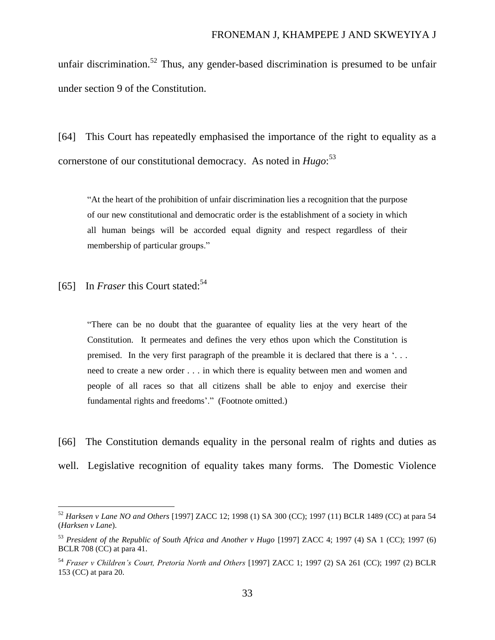unfair discrimination.<sup>52</sup> Thus, any gender-based discrimination is presumed to be unfair under section 9 of the Constitution.

[64] This Court has repeatedly emphasised the importance of the right to equality as a cornerstone of our constitutional democracy. As noted in *Hugo*: 53

"At the heart of the prohibition of unfair discrimination lies a recognition that the purpose of our new constitutional and democratic order is the establishment of a society in which all human beings will be accorded equal dignity and respect regardless of their membership of particular groups."

[65] In *Fraser* this Court stated:<sup>54</sup>

"There can be no doubt that the guarantee of equality lies at the very heart of the Constitution. It permeates and defines the very ethos upon which the Constitution is premised. In the very first paragraph of the preamble it is declared that there is a '. . . need to create a new order . . . in which there is equality between men and women and people of all races so that all citizens shall be able to enjoy and exercise their fundamental rights and freedoms'." (Footnote omitted.)

[66] The Constitution demands equality in the personal realm of rights and duties as well. Legislative recognition of equality takes many forms. The Domestic Violence

<sup>52</sup> *Harksen v Lane NO and Others* [1997] ZACC 12; 1998 (1) SA 300 (CC); 1997 (11) BCLR 1489 (CC) at para 54 (*Harksen v Lane*).

<sup>53</sup> *President of the Republic of South Africa and Another v Hugo* [1997] ZACC 4; 1997 (4) SA 1 (CC); 1997 (6) BCLR 708 (CC) at para 41.

<sup>54</sup> *Fraser v Children's Court, Pretoria North and Others* [1997] ZACC 1; 1997 (2) SA 261 (CC); 1997 (2) BCLR 153 (CC) at para 20.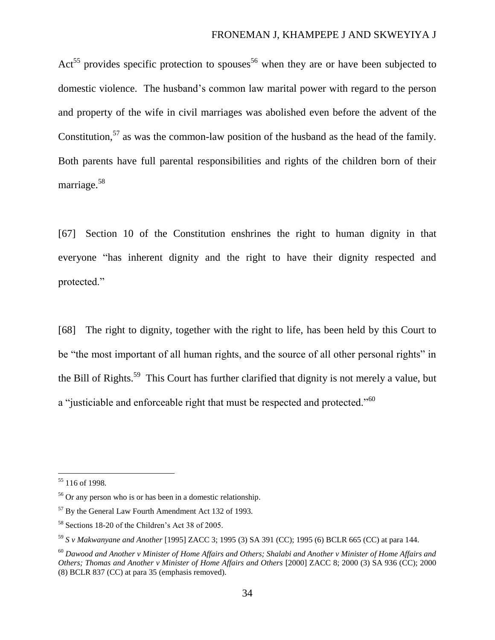Act<sup>55</sup> provides specific protection to spouses<sup>56</sup> when they are or have been subjected to domestic violence. The husband's common law marital power with regard to the person and property of the wife in civil marriages was abolished even before the advent of the Constitution,<sup>57</sup> as was the common-law position of the husband as the head of the family. Both parents have full parental responsibilities and rights of the children born of their marriage.<sup>58</sup>

[67] Section 10 of the Constitution enshrines the right to human dignity in that everyone "has inherent dignity and the right to have their dignity respected and protected."

[68] The right to dignity, together with the right to life, has been held by this Court to be "the most important of all human rights, and the source of all other personal rights" in the Bill of Rights.<sup>59</sup> This Court has further clarified that dignity is not merely a value, but a "justiciable and enforceable right that must be respected and protected."<sup>60</sup>

<sup>55</sup> 116 of 1998.

<sup>56</sup> Or any person who is or has been in a domestic relationship.

<sup>57</sup> By the General Law Fourth Amendment Act 132 of 1993.

<sup>58</sup> Sections 18-20 of the Children's Act 38 of 2005.

<sup>59</sup> *S v Makwanyane and Another* [1995] ZACC 3; 1995 (3) SA 391 (CC); 1995 (6) BCLR 665 (CC) at para 144.

<sup>60</sup> *Dawood and Another v Minister of Home Affairs and Others; Shalabi and Another v Minister of Home Affairs and Others; Thomas and Another v Minister of Home Affairs and Others* [2000] ZACC 8; 2000 (3) SA 936 (CC); 2000 (8) BCLR 837 (CC) at para 35 (emphasis removed).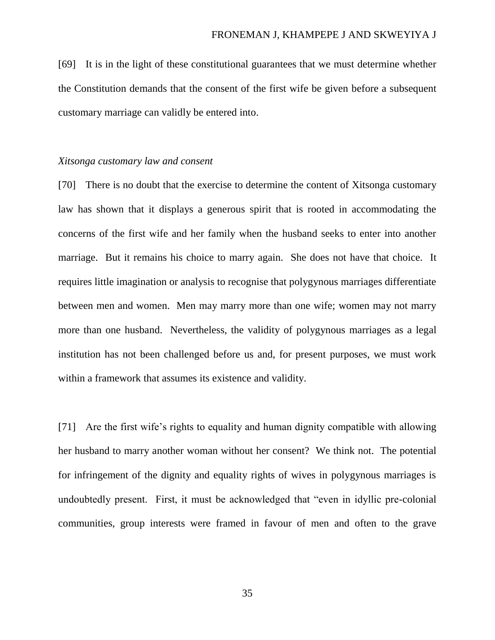[69] It is in the light of these constitutional guarantees that we must determine whether the Constitution demands that the consent of the first wife be given before a subsequent customary marriage can validly be entered into.

### *Xitsonga customary law and consent*

[70] There is no doubt that the exercise to determine the content of Xitsonga customary law has shown that it displays a generous spirit that is rooted in accommodating the concerns of the first wife and her family when the husband seeks to enter into another marriage. But it remains his choice to marry again. She does not have that choice. It requires little imagination or analysis to recognise that polygynous marriages differentiate between men and women. Men may marry more than one wife; women may not marry more than one husband. Nevertheless, the validity of polygynous marriages as a legal institution has not been challenged before us and, for present purposes, we must work within a framework that assumes its existence and validity.

[71] Are the first wife's rights to equality and human dignity compatible with allowing her husband to marry another woman without her consent? We think not. The potential for infringement of the dignity and equality rights of wives in polygynous marriages is undoubtedly present. First, it must be acknowledged that "even in idyllic pre-colonial communities, group interests were framed in favour of men and often to the grave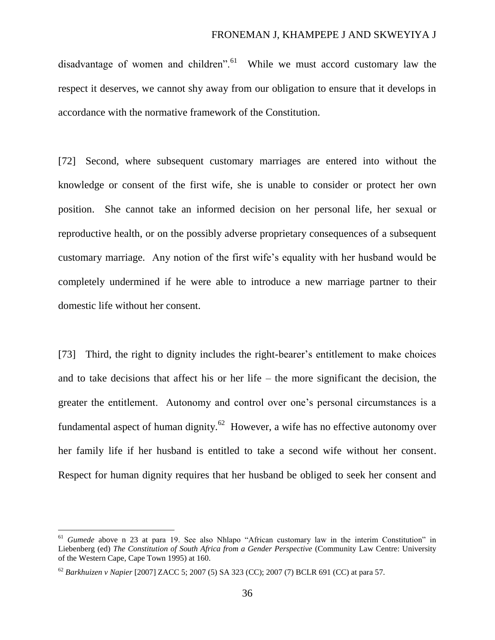disadvantage of women and children".<sup>61</sup> While we must accord customary law the respect it deserves, we cannot shy away from our obligation to ensure that it develops in accordance with the normative framework of the Constitution.

[72] Second, where subsequent customary marriages are entered into without the knowledge or consent of the first wife, she is unable to consider or protect her own position. She cannot take an informed decision on her personal life, her sexual or reproductive health, or on the possibly adverse proprietary consequences of a subsequent customary marriage. Any notion of the first wife's equality with her husband would be completely undermined if he were able to introduce a new marriage partner to their domestic life without her consent.

[73] Third, the right to dignity includes the right-bearer's entitlement to make choices and to take decisions that affect his or her life – the more significant the decision, the greater the entitlement. Autonomy and control over one's personal circumstances is a fundamental aspect of human dignity. $^{62}$  However, a wife has no effective autonomy over her family life if her husband is entitled to take a second wife without her consent. Respect for human dignity requires that her husband be obliged to seek her consent and

 $\overline{a}$ 

<sup>&</sup>lt;sup>61</sup> *Gumede* above n 23 at para 19. See also Nhlapo "African customary law in the interim Constitution" in Liebenberg (ed) *The Constitution of South Africa from a Gender Perspective* (Community Law Centre: University of the Western Cape, Cape Town 1995) at 160.

<sup>62</sup> *Barkhuizen v Napier* [2007] ZACC 5; 2007 (5) SA 323 (CC); 2007 (7) BCLR 691 (CC) at para 57.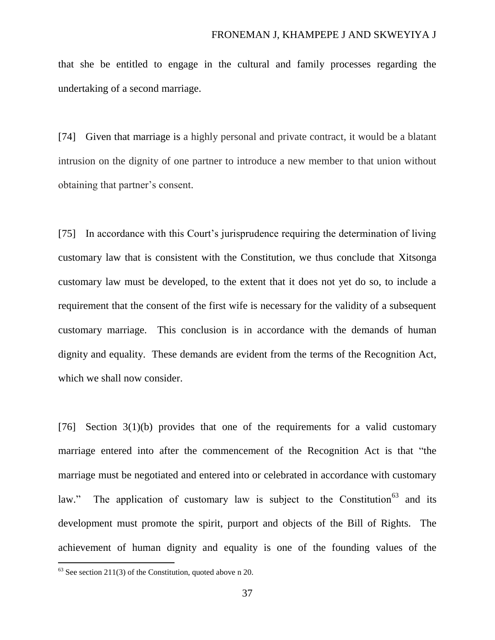that she be entitled to engage in the cultural and family processes regarding the undertaking of a second marriage.

[74] Given that marriage is a highly personal and private contract, it would be a blatant intrusion on the dignity of one partner to introduce a new member to that union without obtaining that partner's consent.

[75] In accordance with this Court's jurisprudence requiring the determination of living customary law that is consistent with the Constitution, we thus conclude that Xitsonga customary law must be developed, to the extent that it does not yet do so, to include a requirement that the consent of the first wife is necessary for the validity of a subsequent customary marriage. This conclusion is in accordance with the demands of human dignity and equality. These demands are evident from the terms of the Recognition Act, which we shall now consider.

[76] Section  $3(1)(b)$  provides that one of the requirements for a valid customary marriage entered into after the commencement of the Recognition Act is that "the marriage must be negotiated and entered into or celebrated in accordance with customary law." The application of customary law is subject to the Constitution<sup>63</sup> and its development must promote the spirit, purport and objects of the Bill of Rights. The achievement of human dignity and equality is one of the founding values of the

 $63$  See section 211(3) of the Constitution, quoted above n 20.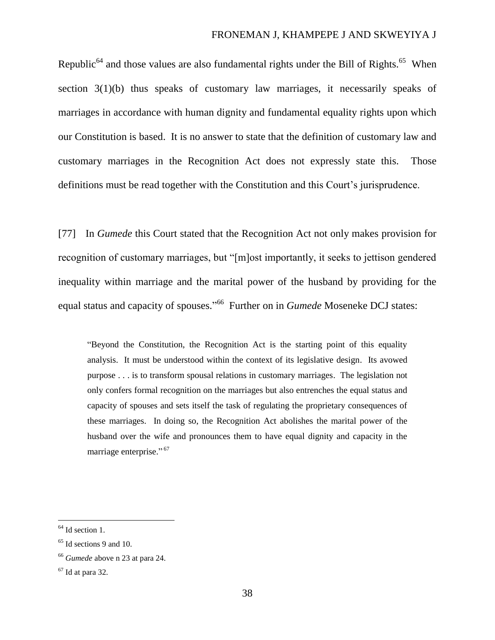## FRONEMAN J, KHAMPEPE J AND SKWEYIYA J

Republic<sup>64</sup> and those values are also fundamental rights under the Bill of Rights.<sup>65</sup> When section 3(1)(b) thus speaks of customary law marriages, it necessarily speaks of marriages in accordance with human dignity and fundamental equality rights upon which our Constitution is based. It is no answer to state that the definition of customary law and customary marriages in the Recognition Act does not expressly state this. Those definitions must be read together with the Constitution and this Court's jurisprudence.

[77] In *Gumede* this Court stated that the Recognition Act not only makes provision for recognition of customary marriages, but "[m]ost importantly, it seeks to jettison gendered inequality within marriage and the marital power of the husband by providing for the equal status and capacity of spouses." <sup>66</sup> Further on in *Gumede* Moseneke DCJ states:

"Beyond the Constitution, the Recognition Act is the starting point of this equality analysis. It must be understood within the context of its legislative design. Its avowed purpose . . . is to transform spousal relations in customary marriages. The legislation not only confers formal recognition on the marriages but also entrenches the equal status and capacity of spouses and sets itself the task of regulating the proprietary consequences of these marriages. In doing so, the Recognition Act abolishes the marital power of the husband over the wife and pronounces them to have equal dignity and capacity in the marriage enterprise."<sup>67</sup>

 $<sup>64</sup>$  Id section 1.</sup>

 $65$  Id sections 9 and 10.

<sup>66</sup> *Gumede* above n 23 at para 24.

 $67$  Id at para 32.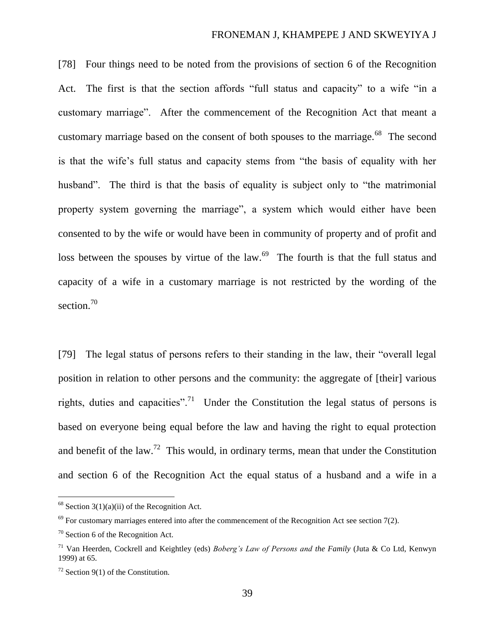[78] Four things need to be noted from the provisions of section 6 of the Recognition Act. The first is that the section affords "full status and capacity" to a wife "in a customary marriage". After the commencement of the Recognition Act that meant a customary marriage based on the consent of both spouses to the marriage.<sup>68</sup> The second is that the wife's full status and capacity stems from "the basis of equality with her husband". The third is that the basis of equality is subject only to "the matrimonial" property system governing the marriage", a system which would either have been consented to by the wife or would have been in community of property and of profit and loss between the spouses by virtue of the law. $^{69}$  The fourth is that the full status and capacity of a wife in a customary marriage is not restricted by the wording of the section.<sup>70</sup>

[79] The legal status of persons refers to their standing in the law, their "overall legal position in relation to other persons and the community: the aggregate of [their] various rights, duties and capacities".<sup>71</sup> Under the Constitution the legal status of persons is based on everyone being equal before the law and having the right to equal protection and benefit of the law.<sup>72</sup> This would, in ordinary terms, mean that under the Constitution and section 6 of the Recognition Act the equal status of a husband and a wife in a

 $68$  Section 3(1)(a)(ii) of the Recognition Act.

 $69$  For customary marriages entered into after the commencement of the Recognition Act see section 7(2).

 $70$  Section 6 of the Recognition Act.

<sup>71</sup> Van Heerden, Cockrell and Keightley (eds) *Boberg's Law of Persons and the Family* (Juta & Co Ltd, Kenwyn 1999) at 65.

 $72$  Section 9(1) of the Constitution.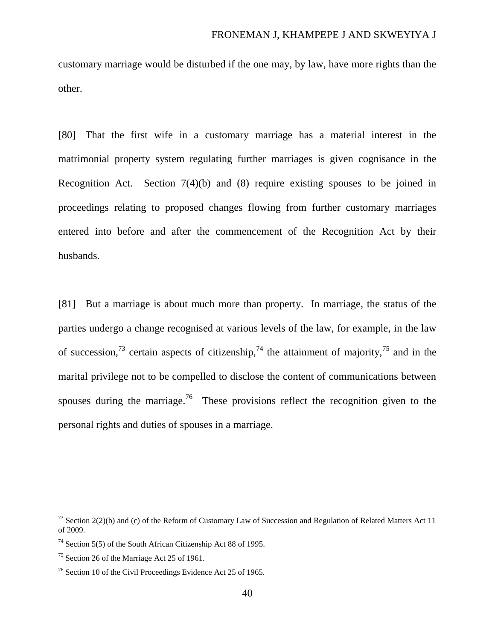customary marriage would be disturbed if the one may, by law, have more rights than the other.

[80] That the first wife in a customary marriage has a material interest in the matrimonial property system regulating further marriages is given cognisance in the Recognition Act. Section 7(4)(b) and (8) require existing spouses to be joined in proceedings relating to proposed changes flowing from further customary marriages entered into before and after the commencement of the Recognition Act by their husbands.

[81] But a marriage is about much more than property. In marriage, the status of the parties undergo a change recognised at various levels of the law, for example, in the law of succession,<sup>73</sup> certain aspects of citizenship,<sup>74</sup> the attainment of majority,<sup>75</sup> and in the marital privilege not to be compelled to disclose the content of communications between spouses during the marriage.<sup>76</sup> These provisions reflect the recognition given to the personal rights and duties of spouses in a marriage.

<sup>&</sup>lt;sup>73</sup> Section 2(2)(b) and (c) of the Reform of Customary Law of Succession and Regulation of Related Matters Act 11 of 2009.

<sup>74</sup> Section 5(5) of the South African Citizenship Act 88 of 1995.

<sup>75</sup> Section 26 of the Marriage Act 25 of 1961.

<sup>76</sup> Section 10 of the Civil Proceedings Evidence Act 25 of 1965.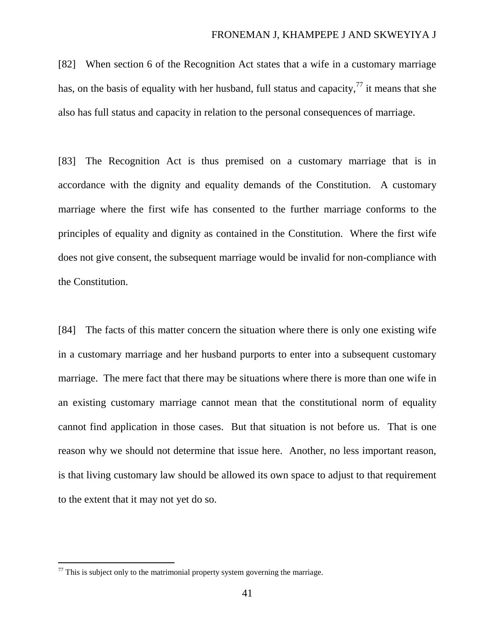[82] When section 6 of the Recognition Act states that a wife in a customary marriage has, on the basis of equality with her husband, full status and capacity,  $\frac{7}{7}$  it means that she also has full status and capacity in relation to the personal consequences of marriage.

[83] The Recognition Act is thus premised on a customary marriage that is in accordance with the dignity and equality demands of the Constitution. A customary marriage where the first wife has consented to the further marriage conforms to the principles of equality and dignity as contained in the Constitution. Where the first wife does not give consent, the subsequent marriage would be invalid for non-compliance with the Constitution.

[84] The facts of this matter concern the situation where there is only one existing wife in a customary marriage and her husband purports to enter into a subsequent customary marriage. The mere fact that there may be situations where there is more than one wife in an existing customary marriage cannot mean that the constitutional norm of equality cannot find application in those cases. But that situation is not before us. That is one reason why we should not determine that issue here. Another, no less important reason, is that living customary law should be allowed its own space to adjust to that requirement to the extent that it may not yet do so.

 $77$  This is subject only to the matrimonial property system governing the marriage.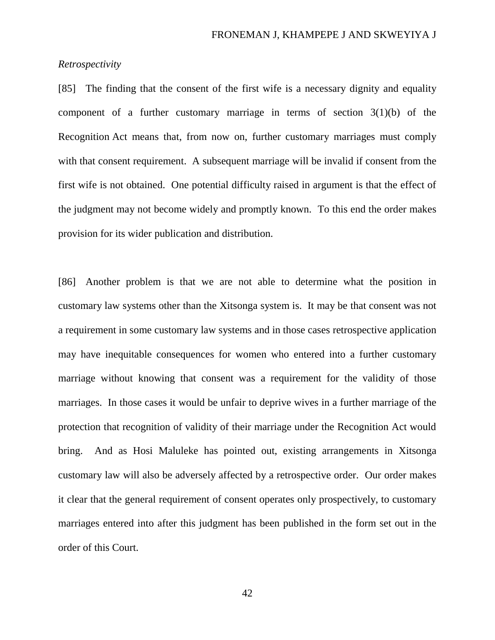# *Retrospectivity*

[85] The finding that the consent of the first wife is a necessary dignity and equality component of a further customary marriage in terms of section  $3(1)(b)$  of the Recognition Act means that, from now on, further customary marriages must comply with that consent requirement. A subsequent marriage will be invalid if consent from the first wife is not obtained. One potential difficulty raised in argument is that the effect of the judgment may not become widely and promptly known. To this end the order makes provision for its wider publication and distribution.

[86] Another problem is that we are not able to determine what the position in customary law systems other than the Xitsonga system is. It may be that consent was not a requirement in some customary law systems and in those cases retrospective application may have inequitable consequences for women who entered into a further customary marriage without knowing that consent was a requirement for the validity of those marriages. In those cases it would be unfair to deprive wives in a further marriage of the protection that recognition of validity of their marriage under the Recognition Act would bring. And as Hosi Maluleke has pointed out, existing arrangements in Xitsonga customary law will also be adversely affected by a retrospective order. Our order makes it clear that the general requirement of consent operates only prospectively, to customary marriages entered into after this judgment has been published in the form set out in the order of this Court.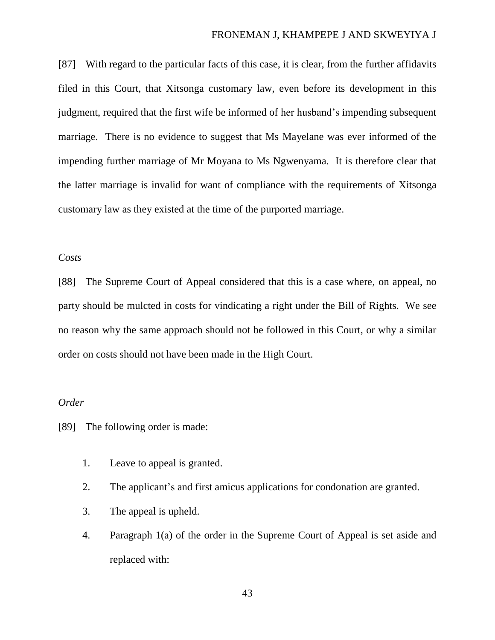### FRONEMAN J, KHAMPEPE J AND SKWEYIYA J

[87] With regard to the particular facts of this case, it is clear, from the further affidavits filed in this Court, that Xitsonga customary law, even before its development in this judgment, required that the first wife be informed of her husband's impending subsequent marriage. There is no evidence to suggest that Ms Mayelane was ever informed of the impending further marriage of Mr Moyana to Ms Ngwenyama. It is therefore clear that the latter marriage is invalid for want of compliance with the requirements of Xitsonga customary law as they existed at the time of the purported marriage.

# *Costs*

[88] The Supreme Court of Appeal considered that this is a case where, on appeal, no party should be mulcted in costs for vindicating a right under the Bill of Rights. We see no reason why the same approach should not be followed in this Court, or why a similar order on costs should not have been made in the High Court.

## *Order*

[89] The following order is made:

- 1. Leave to appeal is granted.
- 2. The applicant's and first amicus applications for condonation are granted.
- 3. The appeal is upheld.
- 4. Paragraph 1(a) of the order in the Supreme Court of Appeal is set aside and replaced with: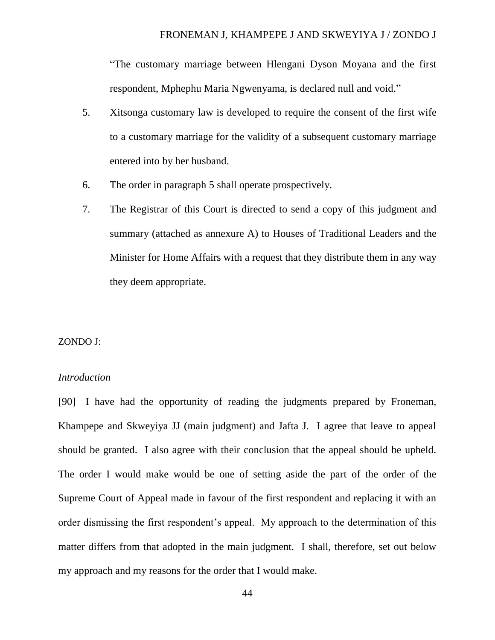"The customary marriage between Hlengani Dyson Moyana and the first respondent, Mphephu Maria Ngwenyama, is declared null and void."

- 5. Xitsonga customary law is developed to require the consent of the first wife to a customary marriage for the validity of a subsequent customary marriage entered into by her husband.
- 6. The order in paragraph 5 shall operate prospectively.
- 7. The Registrar of this Court is directed to send a copy of this judgment and summary (attached as annexure A) to Houses of Traditional Leaders and the Minister for Home Affairs with a request that they distribute them in any way they deem appropriate.

#### ZONDO J:

## *Introduction*

[90] I have had the opportunity of reading the judgments prepared by Froneman, Khampepe and Skweyiya JJ (main judgment) and Jafta J. I agree that leave to appeal should be granted. I also agree with their conclusion that the appeal should be upheld. The order I would make would be one of setting aside the part of the order of the Supreme Court of Appeal made in favour of the first respondent and replacing it with an order dismissing the first respondent's appeal. My approach to the determination of this matter differs from that adopted in the main judgment. I shall, therefore, set out below my approach and my reasons for the order that I would make.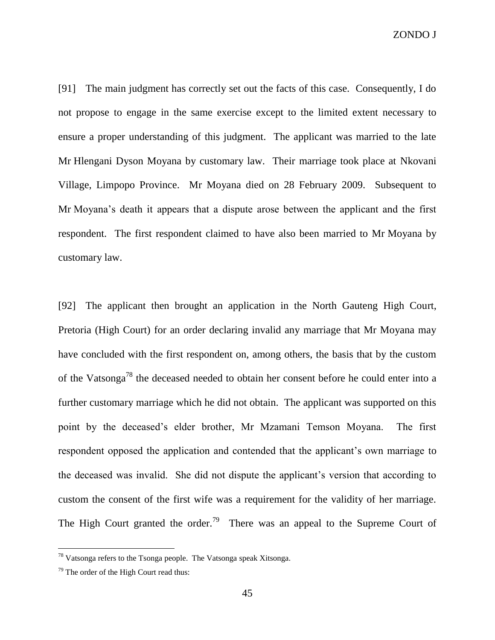ZONDO J

[91] The main judgment has correctly set out the facts of this case. Consequently, I do not propose to engage in the same exercise except to the limited extent necessary to ensure a proper understanding of this judgment. The applicant was married to the late Mr Hlengani Dyson Moyana by customary law. Their marriage took place at Nkovani Village, Limpopo Province. Mr Moyana died on 28 February 2009. Subsequent to Mr Moyana's death it appears that a dispute arose between the applicant and the first respondent. The first respondent claimed to have also been married to Mr Moyana by customary law.

[92] The applicant then brought an application in the North Gauteng High Court, Pretoria (High Court) for an order declaring invalid any marriage that Mr Moyana may have concluded with the first respondent on, among others, the basis that by the custom of the Vatsonga<sup>78</sup> the deceased needed to obtain her consent before he could enter into a further customary marriage which he did not obtain. The applicant was supported on this point by the deceased's elder brother, Mr Mzamani Temson Moyana. The first respondent opposed the application and contended that the applicant's own marriage to the deceased was invalid. She did not dispute the applicant's version that according to custom the consent of the first wife was a requirement for the validity of her marriage. The High Court granted the order.<sup>79</sup> There was an appeal to the Supreme Court of

<sup>78</sup> Vatsonga refers to the Tsonga people. The Vatsonga speak Xitsonga.

 $79$  The order of the High Court read thus: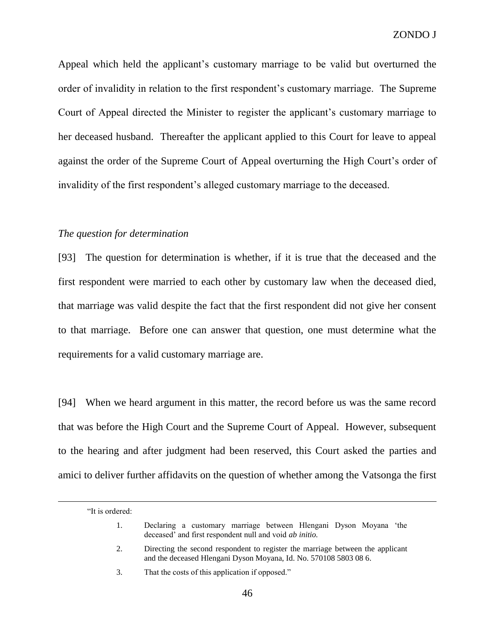Appeal which held the applicant's customary marriage to be valid but overturned the order of invalidity in relation to the first respondent's customary marriage. The Supreme Court of Appeal directed the Minister to register the applicant's customary marriage to her deceased husband. Thereafter the applicant applied to this Court for leave to appeal against the order of the Supreme Court of Appeal overturning the High Court's order of invalidity of the first respondent's alleged customary marriage to the deceased.

## *The question for determination*

[93] The question for determination is whether, if it is true that the deceased and the first respondent were married to each other by customary law when the deceased died, that marriage was valid despite the fact that the first respondent did not give her consent to that marriage. Before one can answer that question, one must determine what the requirements for a valid customary marriage are.

[94] When we heard argument in this matter, the record before us was the same record that was before the High Court and the Supreme Court of Appeal. However, subsequent to the hearing and after judgment had been reserved, this Court asked the parties and amici to deliver further affidavits on the question of whether among the Vatsonga the first

<sup>&</sup>quot;It is ordered:

<sup>1.</sup> Declaring a customary marriage between Hlengani Dyson Moyana 'the deceased' and first respondent null and void *ab initio.*

<sup>2.</sup> Directing the second respondent to register the marriage between the applicant and the deceased Hlengani Dyson Moyana, Id. No. 570108 5803 08 6.

<sup>3.</sup> That the costs of this application if opposed."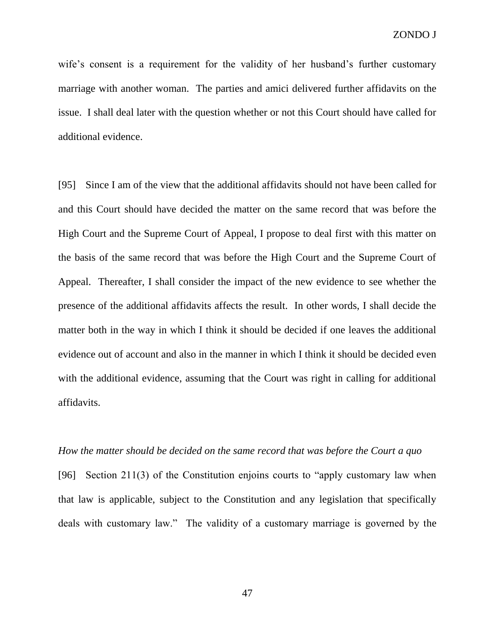wife's consent is a requirement for the validity of her husband's further customary marriage with another woman. The parties and amici delivered further affidavits on the issue. I shall deal later with the question whether or not this Court should have called for additional evidence.

[95] Since I am of the view that the additional affidavits should not have been called for and this Court should have decided the matter on the same record that was before the High Court and the Supreme Court of Appeal, I propose to deal first with this matter on the basis of the same record that was before the High Court and the Supreme Court of Appeal. Thereafter, I shall consider the impact of the new evidence to see whether the presence of the additional affidavits affects the result. In other words, I shall decide the matter both in the way in which I think it should be decided if one leaves the additional evidence out of account and also in the manner in which I think it should be decided even with the additional evidence, assuming that the Court was right in calling for additional affidavits.

## *How the matter should be decided on the same record that was before the Court a quo*

[96] Section 211(3) of the Constitution enjoins courts to "apply customary law when that law is applicable, subject to the Constitution and any legislation that specifically deals with customary law." The validity of a customary marriage is governed by the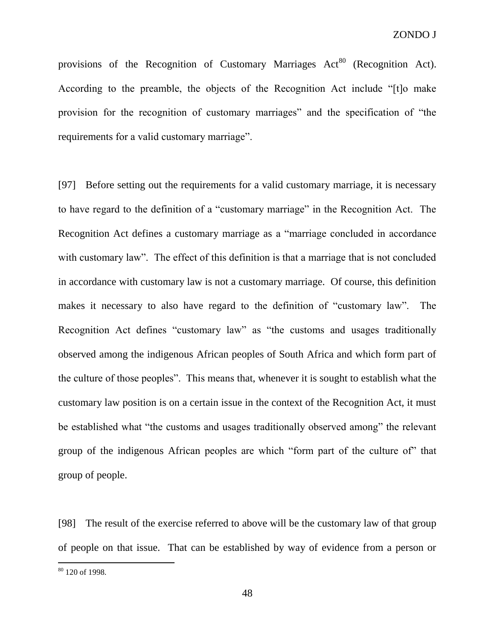provisions of the Recognition of Customary Marriages  $Act<sup>80</sup>$  (Recognition Act). According to the preamble, the objects of the Recognition Act include "[t]o make provision for the recognition of customary marriages" and the specification of "the requirements for a valid customary marriage".

[97] Before setting out the requirements for a valid customary marriage, it is necessary to have regard to the definition of a "customary marriage" in the Recognition Act. The Recognition Act defines a customary marriage as a "marriage concluded in accordance with customary law". The effect of this definition is that a marriage that is not concluded in accordance with customary law is not a customary marriage. Of course, this definition makes it necessary to also have regard to the definition of "customary law". The Recognition Act defines "customary law" as "the customs and usages traditionally observed among the indigenous African peoples of South Africa and which form part of the culture of those peoples". This means that, whenever it is sought to establish what the customary law position is on a certain issue in the context of the Recognition Act, it must be established what "the customs and usages traditionally observed among" the relevant group of the indigenous African peoples are which "form part of the culture of" that group of people.

[98] The result of the exercise referred to above will be the customary law of that group of people on that issue. That can be established by way of evidence from a person or

 $80$  120 of 1998.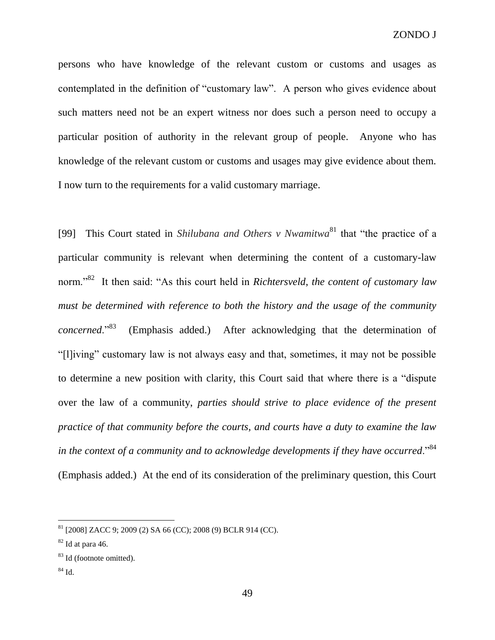persons who have knowledge of the relevant custom or customs and usages as contemplated in the definition of "customary law". A person who gives evidence about such matters need not be an expert witness nor does such a person need to occupy a particular position of authority in the relevant group of people. Anyone who has knowledge of the relevant custom or customs and usages may give evidence about them. I now turn to the requirements for a valid customary marriage.

[99] This Court stated in *Shilubana and Others v Nwamitwa* <sup>81</sup> that "the practice of a particular community is relevant when determining the content of a customary-law norm."<sup>82</sup> It then said: "As this court held in *Richtersveld*, *the content of customary law must be determined with reference to both the history and the usage of the community concerned*."<sup>83</sup> (Emphasis added.) After acknowledging that the determination of "[l]iving" customary law is not always easy and that, sometimes, it may not be possible to determine a new position with clarity, this Court said that where there is a "dispute over the law of a community, *parties should strive to place evidence of the present practice of that community before the courts, and courts have a duty to examine the law in the context of a community and to acknowledge developments if they have occurred.*"<sup>84</sup> (Emphasis added.) At the end of its consideration of the preliminary question, this Court

 $84$  Id.

 $81$  [2008] ZACC 9; 2009 (2) SA 66 (CC); 2008 (9) BCLR 914 (CC).

 $82$  Id at para 46.

<sup>83</sup> Id (footnote omitted).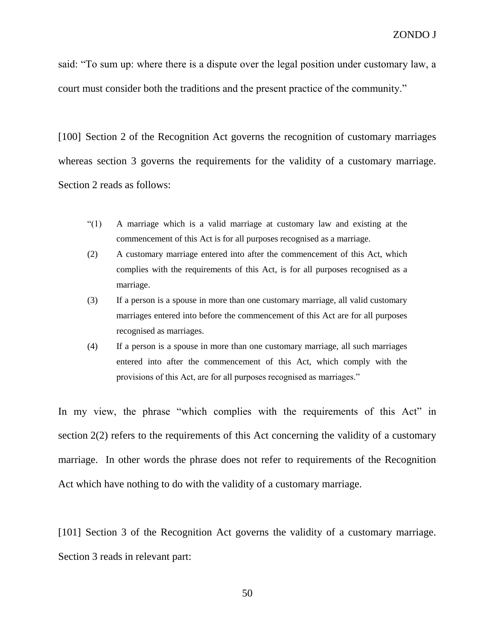said: "To sum up: where there is a dispute over the legal position under customary law, a court must consider both the traditions and the present practice of the community."

[100] Section 2 of the Recognition Act governs the recognition of customary marriages whereas section 3 governs the requirements for the validity of a customary marriage. Section 2 reads as follows:

- "(1) A marriage which is a valid marriage at customary law and existing at the commencement of this Act is for all purposes recognised as a marriage.
- (2) A customary marriage entered into after the commencement of this Act, which complies with the requirements of this Act, is for all purposes recognised as a marriage.
- (3) If a person is a spouse in more than one customary marriage, all valid customary marriages entered into before the commencement of this Act are for all purposes recognised as marriages.
- (4) If a person is a spouse in more than one customary marriage, all such marriages entered into after the commencement of this Act, which comply with the provisions of this Act, are for all purposes recognised as marriages."

In my view, the phrase "which complies with the requirements of this Act" in section 2(2) refers to the requirements of this Act concerning the validity of a customary marriage. In other words the phrase does not refer to requirements of the Recognition Act which have nothing to do with the validity of a customary marriage.

[101] Section 3 of the Recognition Act governs the validity of a customary marriage. Section 3 reads in relevant part: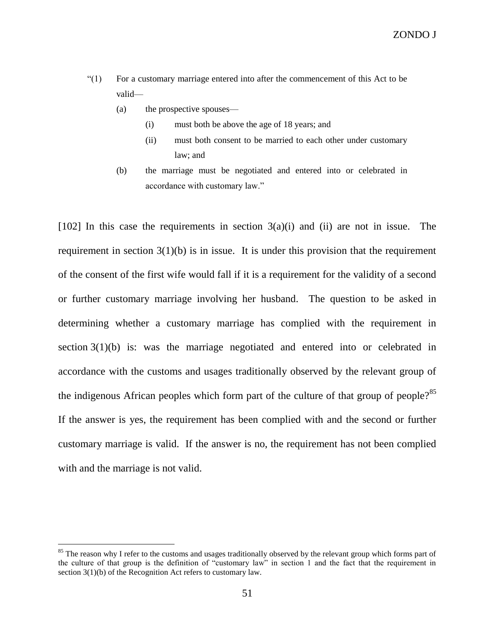- "(1) For a customary marriage entered into after the commencement of this Act to be valid—
	- (a) the prospective spouses—
		- (i) must both be above the age of 18 years; and
		- (ii) must both consent to be married to each other under customary law; and
	- (b) the marriage must be negotiated and entered into or celebrated in accordance with customary law."

[102] In this case the requirements in section  $3(a)(i)$  and (ii) are not in issue. The requirement in section  $3(1)(b)$  is in issue. It is under this provision that the requirement of the consent of the first wife would fall if it is a requirement for the validity of a second or further customary marriage involving her husband. The question to be asked in determining whether a customary marriage has complied with the requirement in section 3(1)(b) is: was the marriage negotiated and entered into or celebrated in accordance with the customs and usages traditionally observed by the relevant group of the indigenous African peoples which form part of the culture of that group of people? $85$ If the answer is yes, the requirement has been complied with and the second or further customary marriage is valid. If the answer is no, the requirement has not been complied with and the marriage is not valid.

<sup>&</sup>lt;sup>85</sup> The reason why I refer to the customs and usages traditionally observed by the relevant group which forms part of the culture of that group is the definition of "customary law" in section 1 and the fact that the requirement in section 3(1)(b) of the Recognition Act refers to customary law.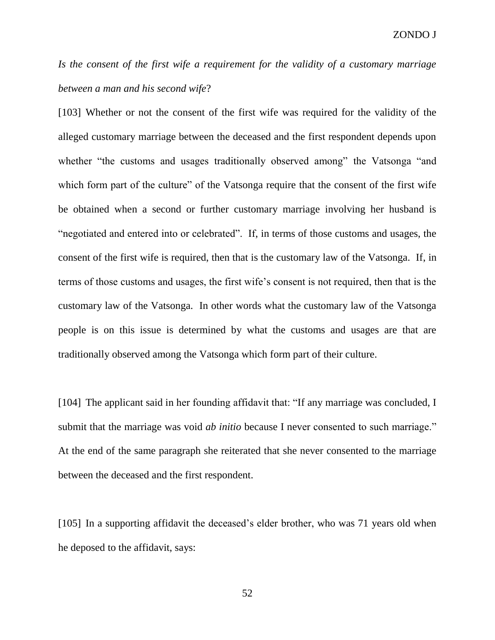*Is the consent of the first wife a requirement for the validity of a customary marriage between a man and his second wife*?

[103] Whether or not the consent of the first wife was required for the validity of the alleged customary marriage between the deceased and the first respondent depends upon whether "the customs and usages traditionally observed among" the Vatsonga "and which form part of the culture" of the Vatsonga require that the consent of the first wife be obtained when a second or further customary marriage involving her husband is "negotiated and entered into or celebrated". If, in terms of those customs and usages, the consent of the first wife is required, then that is the customary law of the Vatsonga. If, in terms of those customs and usages, the first wife's consent is not required, then that is the customary law of the Vatsonga. In other words what the customary law of the Vatsonga people is on this issue is determined by what the customs and usages are that are traditionally observed among the Vatsonga which form part of their culture.

[104] The applicant said in her founding affidavit that: "If any marriage was concluded, I submit that the marriage was void *ab initio* because I never consented to such marriage." At the end of the same paragraph she reiterated that she never consented to the marriage between the deceased and the first respondent.

[105] In a supporting affidavit the deceased's elder brother, who was 71 years old when he deposed to the affidavit, says: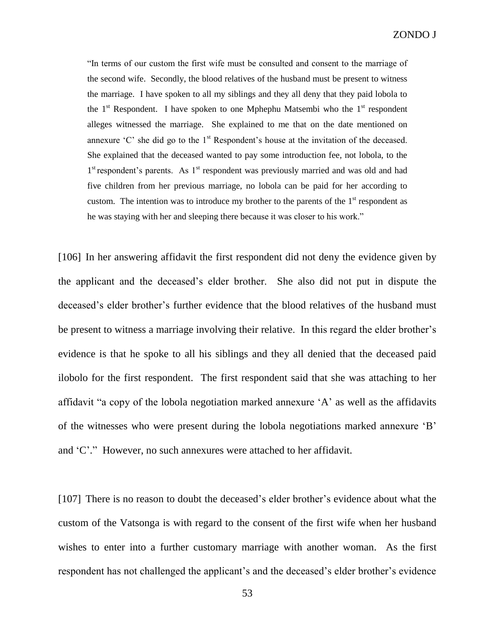"In terms of our custom the first wife must be consulted and consent to the marriage of the second wife. Secondly, the blood relatives of the husband must be present to witness the marriage. I have spoken to all my siblings and they all deny that they paid lobola to the  $1<sup>st</sup>$  Respondent. I have spoken to one Mphephu Matsembi who the  $1<sup>st</sup>$  respondent alleges witnessed the marriage. She explained to me that on the date mentioned on annexure  $^{\circ}$ C' she did go to the 1<sup>st</sup> Respondent's house at the invitation of the deceased. She explained that the deceased wanted to pay some introduction fee, not lobola, to the 1<sup>st</sup> respondent's parents. As 1<sup>st</sup> respondent was previously married and was old and had five children from her previous marriage, no lobola can be paid for her according to custom. The intention was to introduce my brother to the parents of the  $1<sup>st</sup>$  respondent as he was staying with her and sleeping there because it was closer to his work."

[106] In her answering affidavit the first respondent did not deny the evidence given by the applicant and the deceased's elder brother. She also did not put in dispute the deceased's elder brother's further evidence that the blood relatives of the husband must be present to witness a marriage involving their relative. In this regard the elder brother's evidence is that he spoke to all his siblings and they all denied that the deceased paid ilobolo for the first respondent. The first respondent said that she was attaching to her affidavit "a copy of the lobola negotiation marked annexure 'A' as well as the affidavits of the witnesses who were present during the lobola negotiations marked annexure 'B' and 'C'." However, no such annexures were attached to her affidavit.

[107] There is no reason to doubt the deceased's elder brother's evidence about what the custom of the Vatsonga is with regard to the consent of the first wife when her husband wishes to enter into a further customary marriage with another woman. As the first respondent has not challenged the applicant's and the deceased's elder brother's evidence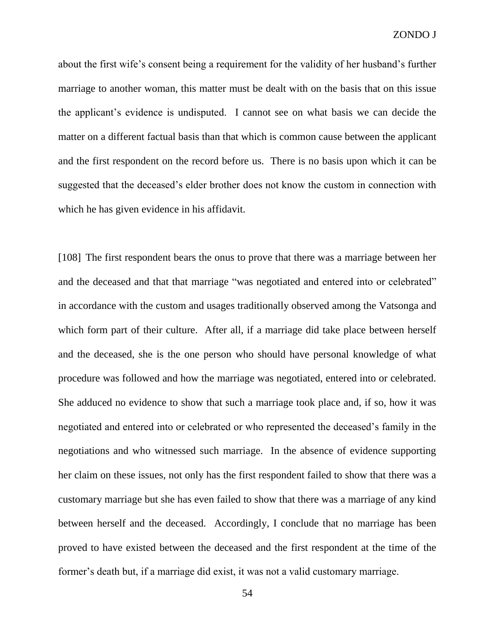about the first wife's consent being a requirement for the validity of her husband's further marriage to another woman, this matter must be dealt with on the basis that on this issue the applicant's evidence is undisputed. I cannot see on what basis we can decide the matter on a different factual basis than that which is common cause between the applicant and the first respondent on the record before us. There is no basis upon which it can be suggested that the deceased's elder brother does not know the custom in connection with which he has given evidence in his affidavit.

[108] The first respondent bears the onus to prove that there was a marriage between her and the deceased and that that marriage "was negotiated and entered into or celebrated" in accordance with the custom and usages traditionally observed among the Vatsonga and which form part of their culture. After all, if a marriage did take place between herself and the deceased, she is the one person who should have personal knowledge of what procedure was followed and how the marriage was negotiated, entered into or celebrated. She adduced no evidence to show that such a marriage took place and, if so, how it was negotiated and entered into or celebrated or who represented the deceased's family in the negotiations and who witnessed such marriage. In the absence of evidence supporting her claim on these issues, not only has the first respondent failed to show that there was a customary marriage but she has even failed to show that there was a marriage of any kind between herself and the deceased. Accordingly, I conclude that no marriage has been proved to have existed between the deceased and the first respondent at the time of the former's death but, if a marriage did exist, it was not a valid customary marriage.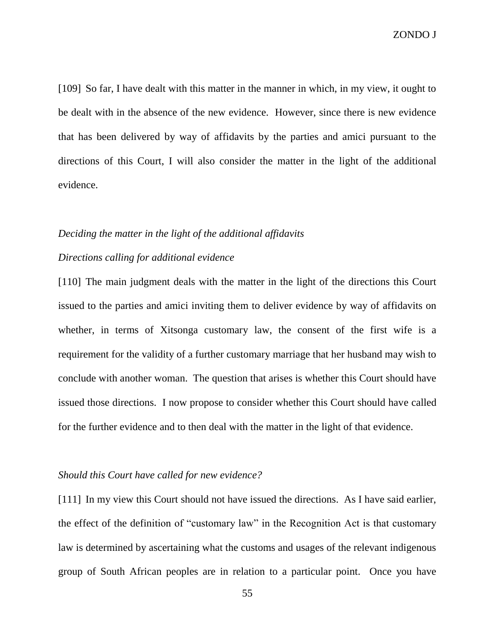ZONDO J

[109] So far, I have dealt with this matter in the manner in which, in my view, it ought to be dealt with in the absence of the new evidence. However, since there is new evidence that has been delivered by way of affidavits by the parties and amici pursuant to the directions of this Court, I will also consider the matter in the light of the additional evidence.

#### *Deciding the matter in the light of the additional affidavits*

# *Directions calling for additional evidence*

[110] The main judgment deals with the matter in the light of the directions this Court issued to the parties and amici inviting them to deliver evidence by way of affidavits on whether, in terms of Xitsonga customary law, the consent of the first wife is a requirement for the validity of a further customary marriage that her husband may wish to conclude with another woman. The question that arises is whether this Court should have issued those directions. I now propose to consider whether this Court should have called for the further evidence and to then deal with the matter in the light of that evidence.

# *Should this Court have called for new evidence?*

[111] In my view this Court should not have issued the directions. As I have said earlier, the effect of the definition of "customary law" in the Recognition Act is that customary law is determined by ascertaining what the customs and usages of the relevant indigenous group of South African peoples are in relation to a particular point. Once you have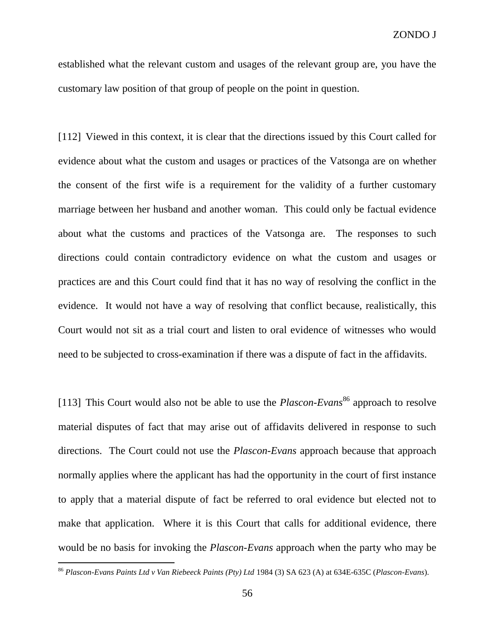established what the relevant custom and usages of the relevant group are, you have the customary law position of that group of people on the point in question.

[112] Viewed in this context, it is clear that the directions issued by this Court called for evidence about what the custom and usages or practices of the Vatsonga are on whether the consent of the first wife is a requirement for the validity of a further customary marriage between her husband and another woman. This could only be factual evidence about what the customs and practices of the Vatsonga are. The responses to such directions could contain contradictory evidence on what the custom and usages or practices are and this Court could find that it has no way of resolving the conflict in the evidence. It would not have a way of resolving that conflict because, realistically, this Court would not sit as a trial court and listen to oral evidence of witnesses who would need to be subjected to cross-examination if there was a dispute of fact in the affidavits.

[113] This Court would also not be able to use the *Plascon-Evans*<sup>86</sup> approach to resolve material disputes of fact that may arise out of affidavits delivered in response to such directions. The Court could not use the *Plascon-Evans* approach because that approach normally applies where the applicant has had the opportunity in the court of first instance to apply that a material dispute of fact be referred to oral evidence but elected not to make that application. Where it is this Court that calls for additional evidence, there would be no basis for invoking the *Plascon-Evans* approach when the party who may be

<sup>86</sup> *Plascon-Evans Paints Ltd v Van Riebeeck Paints (Pty) Ltd* 1984 (3) SA 623 (A) at 634E-635C (*Plascon-Evans*).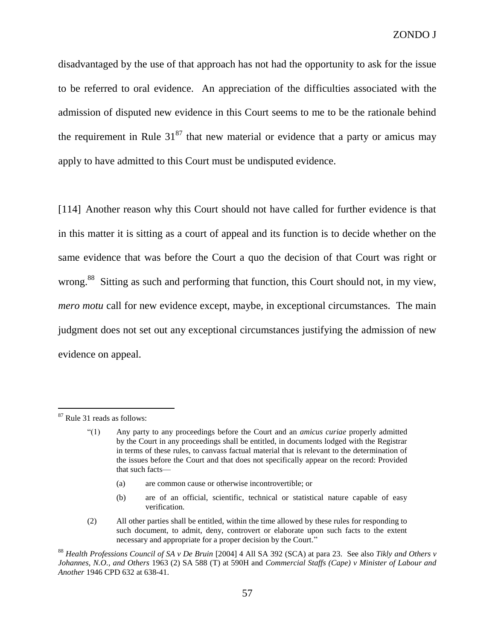disadvantaged by the use of that approach has not had the opportunity to ask for the issue to be referred to oral evidence. An appreciation of the difficulties associated with the admission of disputed new evidence in this Court seems to me to be the rationale behind the requirement in Rule  $31^{87}$  that new material or evidence that a party or amicus may apply to have admitted to this Court must be undisputed evidence.

[114] Another reason why this Court should not have called for further evidence is that in this matter it is sitting as a court of appeal and its function is to decide whether on the same evidence that was before the Court a quo the decision of that Court was right or wrong.<sup>88</sup> Sitting as such and performing that function, this Court should not, in my view, *mero motu* call for new evidence except, maybe, in exceptional circumstances. The main judgment does not set out any exceptional circumstances justifying the admission of new evidence on appeal.

- (a) are common cause or otherwise incontrovertible; or
- (b) are of an official, scientific, technical or statistical nature capable of easy verification.

<sup>87</sup> Rule 31 reads as follows:

<sup>&</sup>quot;(1) Any party to any proceedings before the Court and an *amicus curiae* properly admitted by the Court in any proceedings shall be entitled, in documents lodged with the Registrar in terms of these rules, to canvass factual material that is relevant to the determination of the issues before the Court and that does not specifically appear on the record: Provided that such facts—

<sup>(2)</sup> All other parties shall be entitled, within the time allowed by these rules for responding to such document, to admit, deny, controvert or elaborate upon such facts to the extent necessary and appropriate for a proper decision by the Court."

<sup>88</sup> *Health Professions Council of SA v De Bruin* [\[2004\] 4 All SA 392](http://www.saflii.org/cgi-bin/LawCite?cit=%5b2004%5d%204%20All%20SA%20392) (SCA) at para 23. See also *Tikly and Others v Johannes, N.O., and Others* [1963 \(2\) SA 588](http://www.saflii.org/cgi-bin/LawCite?cit=1963%20%282%29%20SA%20588) (T) at 590H and *Commercial Staffs (Cape) v Minister of Labour and Another* [1946 CPD 632](http://www.saflii.org/cgi-bin/LawCite?cit=1946%20CPD%20632) at 638-41.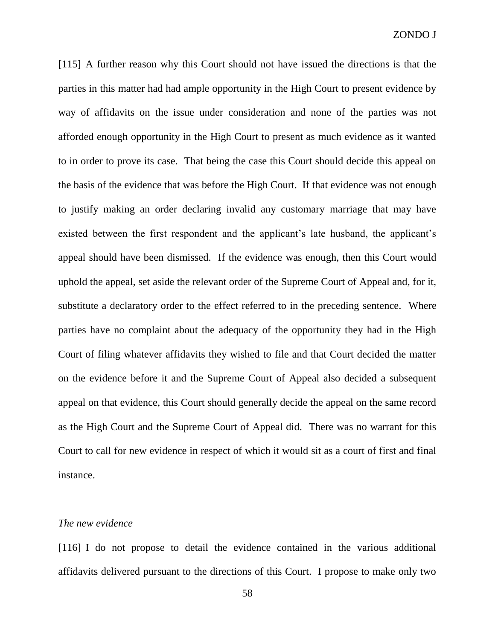[115] A further reason why this Court should not have issued the directions is that the parties in this matter had had ample opportunity in the High Court to present evidence by way of affidavits on the issue under consideration and none of the parties was not afforded enough opportunity in the High Court to present as much evidence as it wanted to in order to prove its case. That being the case this Court should decide this appeal on the basis of the evidence that was before the High Court. If that evidence was not enough to justify making an order declaring invalid any customary marriage that may have existed between the first respondent and the applicant's late husband, the applicant's appeal should have been dismissed. If the evidence was enough, then this Court would uphold the appeal, set aside the relevant order of the Supreme Court of Appeal and, for it, substitute a declaratory order to the effect referred to in the preceding sentence. Where parties have no complaint about the adequacy of the opportunity they had in the High Court of filing whatever affidavits they wished to file and that Court decided the matter on the evidence before it and the Supreme Court of Appeal also decided a subsequent appeal on that evidence, this Court should generally decide the appeal on the same record as the High Court and the Supreme Court of Appeal did. There was no warrant for this Court to call for new evidence in respect of which it would sit as a court of first and final instance.

# *The new evidence*

[116] I do not propose to detail the evidence contained in the various additional affidavits delivered pursuant to the directions of this Court. I propose to make only two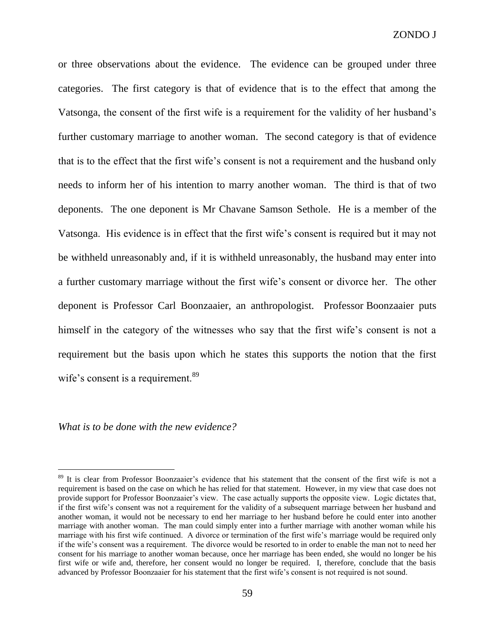or three observations about the evidence. The evidence can be grouped under three categories. The first category is that of evidence that is to the effect that among the Vatsonga, the consent of the first wife is a requirement for the validity of her husband's further customary marriage to another woman. The second category is that of evidence that is to the effect that the first wife's consent is not a requirement and the husband only needs to inform her of his intention to marry another woman. The third is that of two deponents. The one deponent is Mr Chavane Samson Sethole. He is a member of the Vatsonga. His evidence is in effect that the first wife's consent is required but it may not be withheld unreasonably and, if it is withheld unreasonably, the husband may enter into a further customary marriage without the first wife's consent or divorce her. The other deponent is Professor Carl Boonzaaier, an anthropologist. Professor Boonzaaier puts himself in the category of the witnesses who say that the first wife's consent is not a requirement but the basis upon which he states this supports the notion that the first wife's consent is a requirement.<sup>89</sup>

*What is to be done with the new evidence?*

<sup>&</sup>lt;sup>89</sup> It is clear from Professor Boonzaaier's evidence that his statement that the consent of the first wife is not a requirement is based on the case on which he has relied for that statement. However, in my view that case does not provide support for Professor Boonzaaier's view. The case actually supports the opposite view. Logic dictates that, if the first wife's consent was not a requirement for the validity of a subsequent marriage between her husband and another woman, it would not be necessary to end her marriage to her husband before he could enter into another marriage with another woman. The man could simply enter into a further marriage with another woman while his marriage with his first wife continued. A divorce or termination of the first wife's marriage would be required only if the wife's consent was a requirement. The divorce would be resorted to in order to enable the man not to need her consent for his marriage to another woman because, once her marriage has been ended, she would no longer be his first wife or wife and, therefore, her consent would no longer be required. I, therefore, conclude that the basis advanced by Professor Boonzaaier for his statement that the first wife's consent is not required is not sound.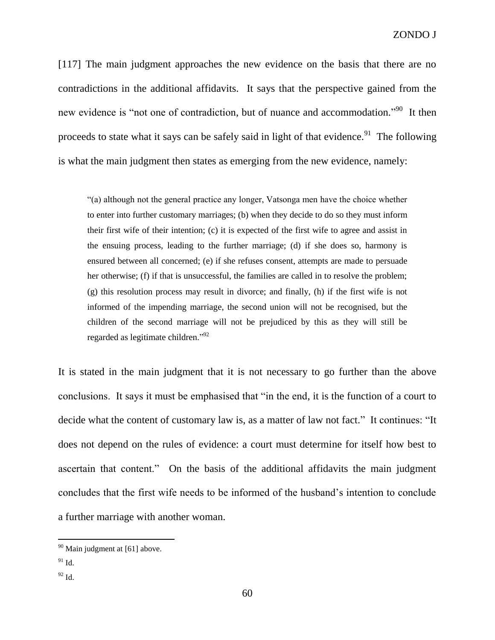[117] The main judgment approaches the new evidence on the basis that there are no contradictions in the additional affidavits. It says that the perspective gained from the new evidence is "not one of contradiction, but of nuance and accommodation."<sup>90</sup> It then proceeds to state what it says can be safely said in light of that evidence.<sup>91</sup> The following is what the main judgment then states as emerging from the new evidence, namely:

"(a) although not the general practice any longer, Vatsonga men have the choice whether to enter into further customary marriages; (b) when they decide to do so they must inform their first wife of their intention; (c) it is expected of the first wife to agree and assist in the ensuing process, leading to the further marriage; (d) if she does so, harmony is ensured between all concerned; (e) if she refuses consent, attempts are made to persuade her otherwise; (f) if that is unsuccessful, the families are called in to resolve the problem; (g) this resolution process may result in divorce; and finally, (h) if the first wife is not informed of the impending marriage, the second union will not be recognised, but the children of the second marriage will not be prejudiced by this as they will still be regarded as legitimate children."<sup>92</sup>

It is stated in the main judgment that it is not necessary to go further than the above conclusions. It says it must be emphasised that "in the end, it is the function of a court to decide what the content of customary law is, as a matter of law not fact." It continues: "It does not depend on the rules of evidence: a court must determine for itself how best to ascertain that content." On the basis of the additional affidavits the main judgment concludes that the first wife needs to be informed of the husband's intention to conclude a further marriage with another woman.

 $90$  Main judgment at [61] above.

 $91$  Id.

 $92$  Id.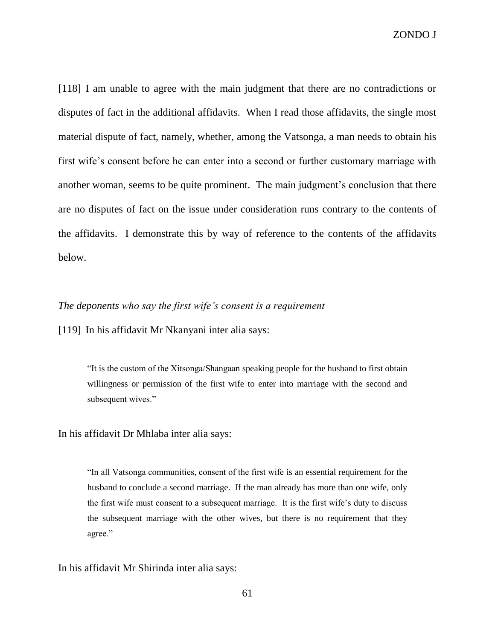ZONDO J

[118] I am unable to agree with the main judgment that there are no contradictions or disputes of fact in the additional affidavits. When I read those affidavits, the single most material dispute of fact, namely, whether, among the Vatsonga, a man needs to obtain his first wife's consent before he can enter into a second or further customary marriage with another woman, seems to be quite prominent. The main judgment's conclusion that there are no disputes of fact on the issue under consideration runs contrary to the contents of the affidavits. I demonstrate this by way of reference to the contents of the affidavits below.

#### *The deponents who say the first wife's consent is a requirement*

[119] In his affidavit Mr Nkanyani inter alia says:

"It is the custom of the Xitsonga/Shangaan speaking people for the husband to first obtain willingness or permission of the first wife to enter into marriage with the second and subsequent wives."

In his affidavit Dr Mhlaba inter alia says:

"In all Vatsonga communities, consent of the first wife is an essential requirement for the husband to conclude a second marriage. If the man already has more than one wife, only the first wife must consent to a subsequent marriage. It is the first wife's duty to discuss the subsequent marriage with the other wives, but there is no requirement that they agree."

In his affidavit Mr Shirinda inter alia says: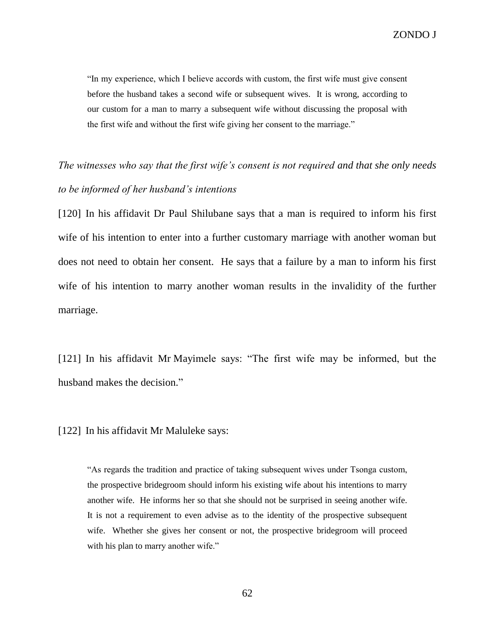"In my experience, which I believe accords with custom, the first wife must give consent before the husband takes a second wife or subsequent wives. It is wrong, according to our custom for a man to marry a subsequent wife without discussing the proposal with the first wife and without the first wife giving her consent to the marriage."

# *The witnesses who say that the first wife's consent is not required and that she only needs to be informed of her husband's intentions*

[120] In his affidavit Dr Paul Shilubane says that a man is required to inform his first wife of his intention to enter into a further customary marriage with another woman but does not need to obtain her consent. He says that a failure by a man to inform his first wife of his intention to marry another woman results in the invalidity of the further marriage.

[121] In his affidavit Mr Mayimele says: "The first wife may be informed, but the husband makes the decision."

[122] In his affidavit Mr Maluleke says:

"As regards the tradition and practice of taking subsequent wives under Tsonga custom, the prospective bridegroom should inform his existing wife about his intentions to marry another wife. He informs her so that she should not be surprised in seeing another wife. It is not a requirement to even advise as to the identity of the prospective subsequent wife. Whether she gives her consent or not, the prospective bridegroom will proceed with his plan to marry another wife."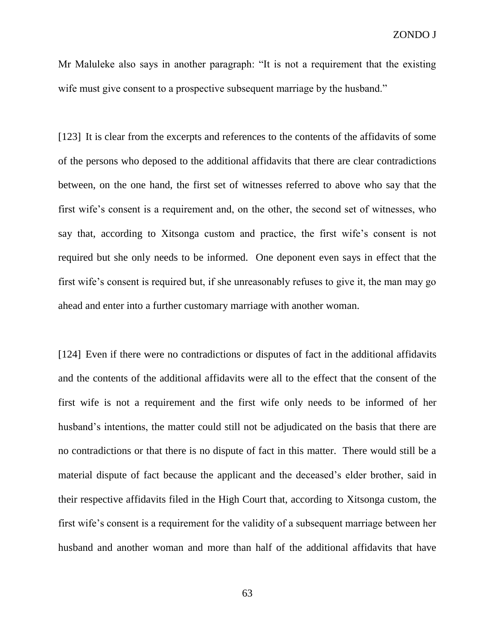Mr Maluleke also says in another paragraph: "It is not a requirement that the existing wife must give consent to a prospective subsequent marriage by the husband."

[123] It is clear from the excerpts and references to the contents of the affidavits of some of the persons who deposed to the additional affidavits that there are clear contradictions between, on the one hand, the first set of witnesses referred to above who say that the first wife's consent is a requirement and, on the other, the second set of witnesses, who say that, according to Xitsonga custom and practice, the first wife's consent is not required but she only needs to be informed. One deponent even says in effect that the first wife's consent is required but, if she unreasonably refuses to give it, the man may go ahead and enter into a further customary marriage with another woman.

[124] Even if there were no contradictions or disputes of fact in the additional affidavits and the contents of the additional affidavits were all to the effect that the consent of the first wife is not a requirement and the first wife only needs to be informed of her husband's intentions, the matter could still not be adjudicated on the basis that there are no contradictions or that there is no dispute of fact in this matter. There would still be a material dispute of fact because the applicant and the deceased's elder brother, said in their respective affidavits filed in the High Court that, according to Xitsonga custom, the first wife's consent is a requirement for the validity of a subsequent marriage between her husband and another woman and more than half of the additional affidavits that have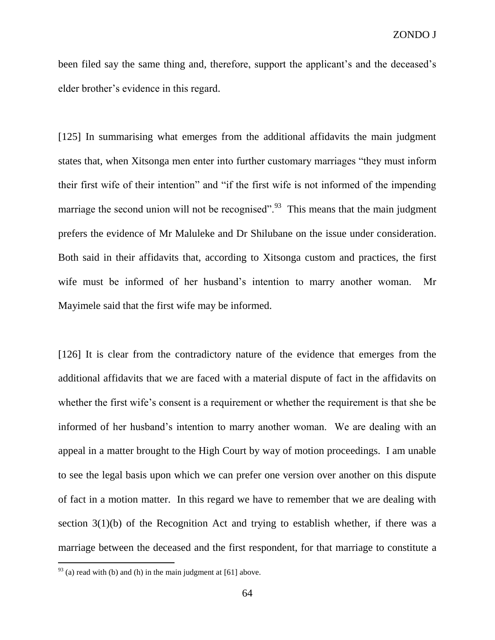been filed say the same thing and, therefore, support the applicant's and the deceased's elder brother's evidence in this regard.

[125] In summarising what emerges from the additional affidavits the main judgment states that, when Xitsonga men enter into further customary marriages "they must inform their first wife of their intention" and "if the first wife is not informed of the impending marriage the second union will not be recognised".<sup>93</sup> This means that the main judgment prefers the evidence of Mr Maluleke and Dr Shilubane on the issue under consideration. Both said in their affidavits that, according to Xitsonga custom and practices, the first wife must be informed of her husband's intention to marry another woman. Mr Mayimele said that the first wife may be informed.

[126] It is clear from the contradictory nature of the evidence that emerges from the additional affidavits that we are faced with a material dispute of fact in the affidavits on whether the first wife's consent is a requirement or whether the requirement is that she be informed of her husband's intention to marry another woman. We are dealing with an appeal in a matter brought to the High Court by way of motion proceedings. I am unable to see the legal basis upon which we can prefer one version over another on this dispute of fact in a motion matter. In this regard we have to remember that we are dealing with section 3(1)(b) of the Recognition Act and trying to establish whether, if there was a marriage between the deceased and the first respondent, for that marriage to constitute a

 $^{93}$  (a) read with (b) and (h) in the main judgment at [61] above.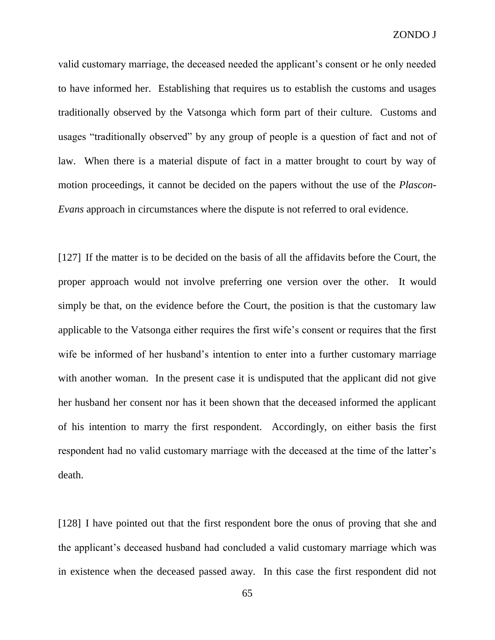ZONDO J

valid customary marriage, the deceased needed the applicant's consent or he only needed to have informed her. Establishing that requires us to establish the customs and usages traditionally observed by the Vatsonga which form part of their culture. Customs and usages "traditionally observed" by any group of people is a question of fact and not of law. When there is a material dispute of fact in a matter brought to court by way of motion proceedings, it cannot be decided on the papers without the use of the *Plascon-Evans* approach in circumstances where the dispute is not referred to oral evidence.

[127] If the matter is to be decided on the basis of all the affidavits before the Court, the proper approach would not involve preferring one version over the other. It would simply be that, on the evidence before the Court, the position is that the customary law applicable to the Vatsonga either requires the first wife's consent or requires that the first wife be informed of her husband's intention to enter into a further customary marriage with another woman. In the present case it is undisputed that the applicant did not give her husband her consent nor has it been shown that the deceased informed the applicant of his intention to marry the first respondent. Accordingly, on either basis the first respondent had no valid customary marriage with the deceased at the time of the latter's death.

[128] I have pointed out that the first respondent bore the onus of proving that she and the applicant's deceased husband had concluded a valid customary marriage which was in existence when the deceased passed away. In this case the first respondent did not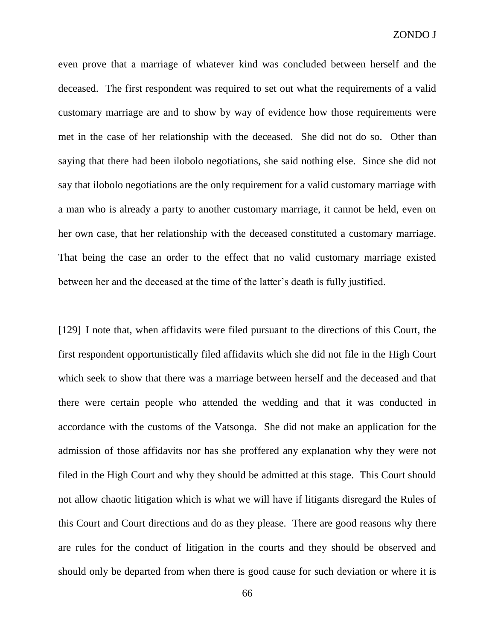even prove that a marriage of whatever kind was concluded between herself and the deceased. The first respondent was required to set out what the requirements of a valid customary marriage are and to show by way of evidence how those requirements were met in the case of her relationship with the deceased. She did not do so. Other than saying that there had been ilobolo negotiations, she said nothing else. Since she did not say that ilobolo negotiations are the only requirement for a valid customary marriage with a man who is already a party to another customary marriage, it cannot be held, even on her own case, that her relationship with the deceased constituted a customary marriage. That being the case an order to the effect that no valid customary marriage existed between her and the deceased at the time of the latter's death is fully justified.

[129] I note that, when affidavits were filed pursuant to the directions of this Court, the first respondent opportunistically filed affidavits which she did not file in the High Court which seek to show that there was a marriage between herself and the deceased and that there were certain people who attended the wedding and that it was conducted in accordance with the customs of the Vatsonga. She did not make an application for the admission of those affidavits nor has she proffered any explanation why they were not filed in the High Court and why they should be admitted at this stage. This Court should not allow chaotic litigation which is what we will have if litigants disregard the Rules of this Court and Court directions and do as they please. There are good reasons why there are rules for the conduct of litigation in the courts and they should be observed and should only be departed from when there is good cause for such deviation or where it is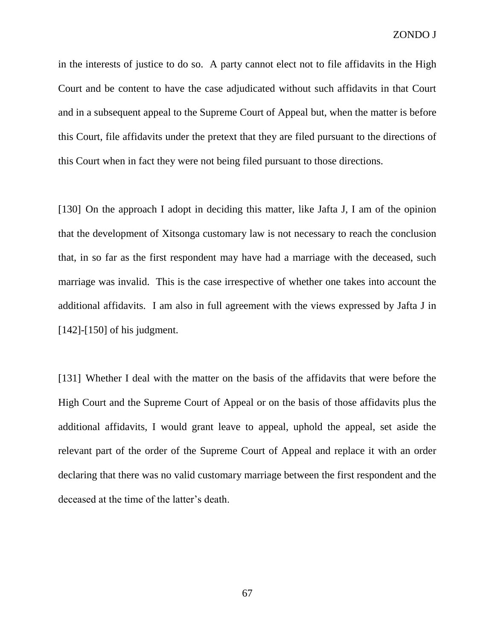in the interests of justice to do so. A party cannot elect not to file affidavits in the High Court and be content to have the case adjudicated without such affidavits in that Court and in a subsequent appeal to the Supreme Court of Appeal but, when the matter is before this Court, file affidavits under the pretext that they are filed pursuant to the directions of this Court when in fact they were not being filed pursuant to those directions.

[130] On the approach I adopt in deciding this matter, like Jafta J, I am of the opinion that the development of Xitsonga customary law is not necessary to reach the conclusion that, in so far as the first respondent may have had a marriage with the deceased, such marriage was invalid. This is the case irrespective of whether one takes into account the additional affidavits. I am also in full agreement with the views expressed by Jafta J in [142]-[150] of his judgment.

[131] Whether I deal with the matter on the basis of the affidavits that were before the High Court and the Supreme Court of Appeal or on the basis of those affidavits plus the additional affidavits, I would grant leave to appeal, uphold the appeal, set aside the relevant part of the order of the Supreme Court of Appeal and replace it with an order declaring that there was no valid customary marriage between the first respondent and the deceased at the time of the latter's death.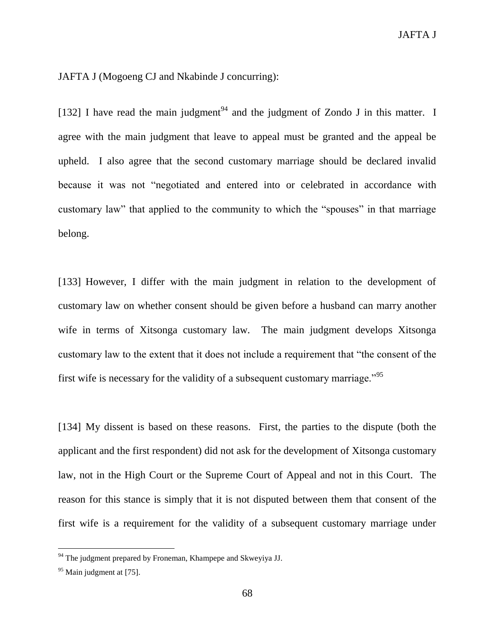JAFTA J (Mogoeng CJ and Nkabinde J concurring):

[132] I have read the main judgment<sup>94</sup> and the judgment of Zondo J in this matter. I agree with the main judgment that leave to appeal must be granted and the appeal be upheld. I also agree that the second customary marriage should be declared invalid because it was not "negotiated and entered into or celebrated in accordance with customary law" that applied to the community to which the "spouses" in that marriage belong.

[133] However, I differ with the main judgment in relation to the development of customary law on whether consent should be given before a husband can marry another wife in terms of Xitsonga customary law. The main judgment develops Xitsonga customary law to the extent that it does not include a requirement that "the consent of the first wife is necessary for the validity of a subsequent customary marriage."<sup>95</sup>

[134] My dissent is based on these reasons. First, the parties to the dispute (both the applicant and the first respondent) did not ask for the development of Xitsonga customary law, not in the High Court or the Supreme Court of Appeal and not in this Court. The reason for this stance is simply that it is not disputed between them that consent of the first wife is a requirement for the validity of a subsequent customary marriage under

 $94$  The judgment prepared by Froneman, Khampepe and Skweyiya JJ.

 $95$  Main judgment at [75].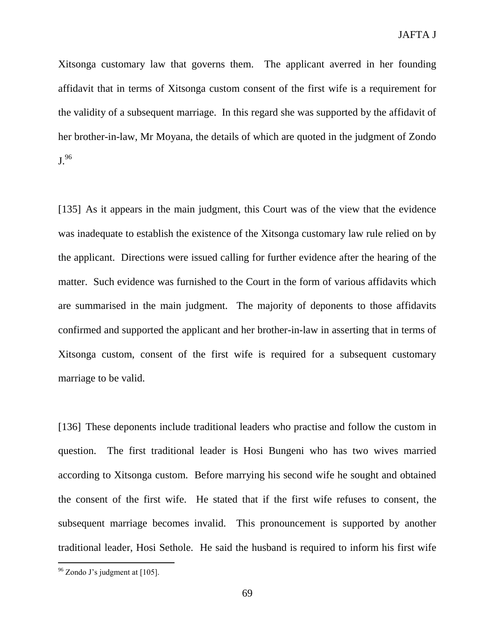Xitsonga customary law that governs them. The applicant averred in her founding affidavit that in terms of Xitsonga custom consent of the first wife is a requirement for the validity of a subsequent marriage. In this regard she was supported by the affidavit of her brother-in-law, Mr Moyana, the details of which are quoted in the judgment of Zondo J.<sup>96</sup>

[135] As it appears in the main judgment, this Court was of the view that the evidence was inadequate to establish the existence of the Xitsonga customary law rule relied on by the applicant. Directions were issued calling for further evidence after the hearing of the matter. Such evidence was furnished to the Court in the form of various affidavits which are summarised in the main judgment. The majority of deponents to those affidavits confirmed and supported the applicant and her brother-in-law in asserting that in terms of Xitsonga custom, consent of the first wife is required for a subsequent customary marriage to be valid.

[136] These deponents include traditional leaders who practise and follow the custom in question. The first traditional leader is Hosi Bungeni who has two wives married according to Xitsonga custom. Before marrying his second wife he sought and obtained the consent of the first wife. He stated that if the first wife refuses to consent, the subsequent marriage becomes invalid. This pronouncement is supported by another traditional leader, Hosi Sethole. He said the husband is required to inform his first wife

 $96$  Zondo J's judgment at [105].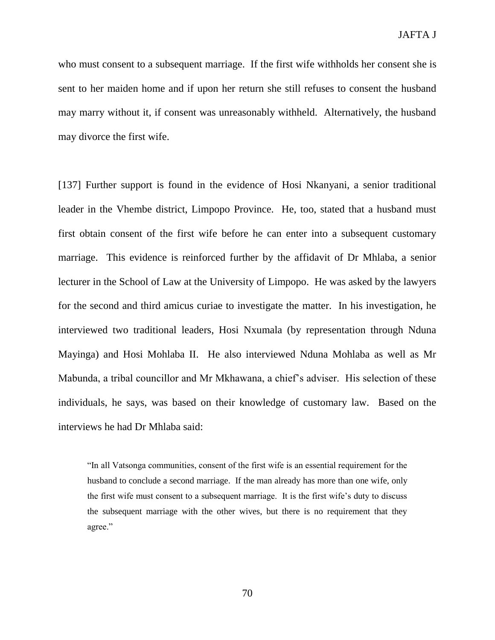who must consent to a subsequent marriage. If the first wife withholds her consent she is sent to her maiden home and if upon her return she still refuses to consent the husband may marry without it, if consent was unreasonably withheld. Alternatively, the husband may divorce the first wife.

[137] Further support is found in the evidence of Hosi Nkanyani, a senior traditional leader in the Vhembe district, Limpopo Province. He, too, stated that a husband must first obtain consent of the first wife before he can enter into a subsequent customary marriage. This evidence is reinforced further by the affidavit of Dr Mhlaba, a senior lecturer in the School of Law at the University of Limpopo. He was asked by the lawyers for the second and third amicus curiae to investigate the matter. In his investigation, he interviewed two traditional leaders, Hosi Nxumala (by representation through Nduna Mayinga) and Hosi Mohlaba II. He also interviewed Nduna Mohlaba as well as Mr Mabunda, a tribal councillor and Mr Mkhawana, a chief's adviser. His selection of these individuals, he says, was based on their knowledge of customary law. Based on the interviews he had Dr Mhlaba said:

"In all Vatsonga communities, consent of the first wife is an essential requirement for the husband to conclude a second marriage. If the man already has more than one wife, only the first wife must consent to a subsequent marriage. It is the first wife's duty to discuss the subsequent marriage with the other wives, but there is no requirement that they agree."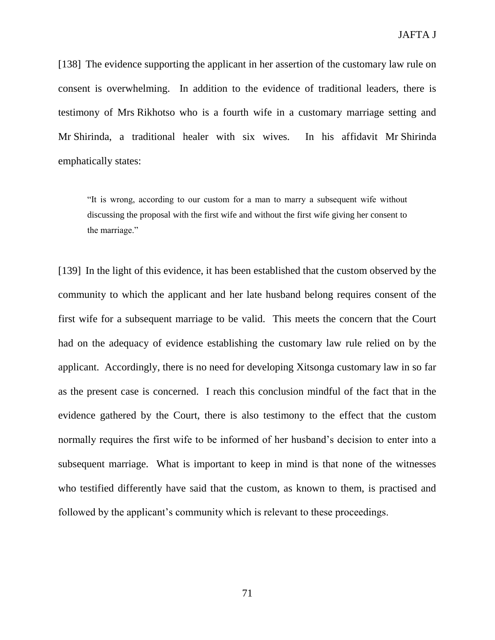[138] The evidence supporting the applicant in her assertion of the customary law rule on consent is overwhelming. In addition to the evidence of traditional leaders, there is testimony of Mrs Rikhotso who is a fourth wife in a customary marriage setting and Mr Shirinda, a traditional healer with six wives. In his affidavit Mr Shirinda emphatically states:

"It is wrong, according to our custom for a man to marry a subsequent wife without discussing the proposal with the first wife and without the first wife giving her consent to the marriage."

[139] In the light of this evidence, it has been established that the custom observed by the community to which the applicant and her late husband belong requires consent of the first wife for a subsequent marriage to be valid. This meets the concern that the Court had on the adequacy of evidence establishing the customary law rule relied on by the applicant. Accordingly, there is no need for developing Xitsonga customary law in so far as the present case is concerned. I reach this conclusion mindful of the fact that in the evidence gathered by the Court, there is also testimony to the effect that the custom normally requires the first wife to be informed of her husband's decision to enter into a subsequent marriage. What is important to keep in mind is that none of the witnesses who testified differently have said that the custom, as known to them, is practised and followed by the applicant's community which is relevant to these proceedings.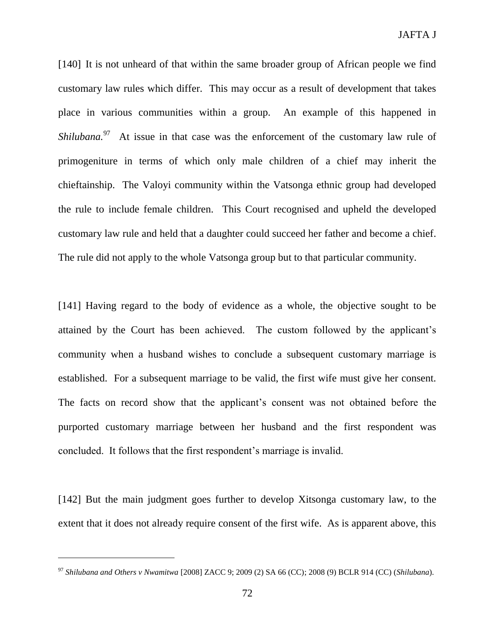[140] It is not unheard of that within the same broader group of African people we find customary law rules which differ. This may occur as a result of development that takes place in various communities within a group. An example of this happened in Shilubana.<sup>97</sup> At issue in that case was the enforcement of the customary law rule of primogeniture in terms of which only male children of a chief may inherit the chieftainship. The Valoyi community within the Vatsonga ethnic group had developed the rule to include female children. This Court recognised and upheld the developed customary law rule and held that a daughter could succeed her father and become a chief. The rule did not apply to the whole Vatsonga group but to that particular community.

[141] Having regard to the body of evidence as a whole, the objective sought to be attained by the Court has been achieved. The custom followed by the applicant's community when a husband wishes to conclude a subsequent customary marriage is established. For a subsequent marriage to be valid, the first wife must give her consent. The facts on record show that the applicant's consent was not obtained before the purported customary marriage between her husband and the first respondent was concluded. It follows that the first respondent's marriage is invalid.

[142] But the main judgment goes further to develop Xitsonga customary law, to the extent that it does not already require consent of the first wife. As is apparent above, this

<sup>97</sup> *Shilubana and Others v Nwamitwa* [2008] ZACC 9; 2009 (2) SA 66 (CC); 2008 (9) BCLR 914 (CC) (*Shilubana*).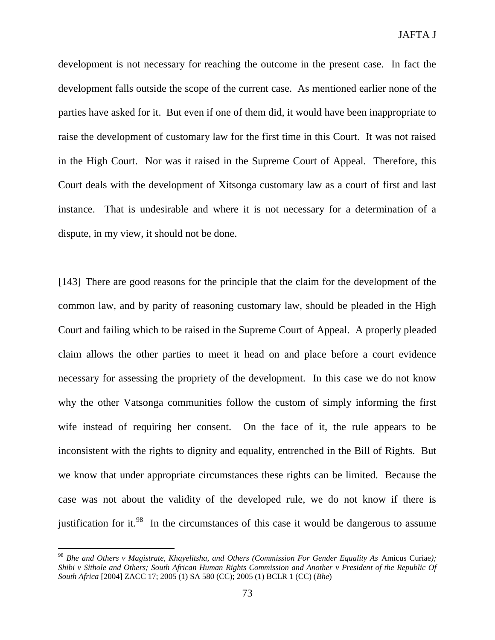development is not necessary for reaching the outcome in the present case. In fact the development falls outside the scope of the current case. As mentioned earlier none of the parties have asked for it. But even if one of them did, it would have been inappropriate to raise the development of customary law for the first time in this Court. It was not raised in the High Court. Nor was it raised in the Supreme Court of Appeal. Therefore, this Court deals with the development of Xitsonga customary law as a court of first and last instance. That is undesirable and where it is not necessary for a determination of a dispute, in my view, it should not be done.

[143] There are good reasons for the principle that the claim for the development of the common law, and by parity of reasoning customary law, should be pleaded in the High Court and failing which to be raised in the Supreme Court of Appeal. A properly pleaded claim allows the other parties to meet it head on and place before a court evidence necessary for assessing the propriety of the development. In this case we do not know why the other Vatsonga communities follow the custom of simply informing the first wife instead of requiring her consent. On the face of it, the rule appears to be inconsistent with the rights to dignity and equality, entrenched in the Bill of Rights. But we know that under appropriate circumstances these rights can be limited. Because the case was not about the validity of the developed rule, we do not know if there is justification for it.<sup>98</sup> In the circumstances of this case it would be dangerous to assume

<sup>&</sup>lt;sup>98</sup> Bhe and Others v Magistrate, Khayelitsha, and Others (Commission For Gender Equality As Amicus Curiae); *Shibi v Sithole and Others; South African Human Rights Commission and Another v President of the Republic Of South Africa* [2004] ZACC 17; 2005 (1) SA 580 (CC); 2005 (1) BCLR 1 (CC) (*Bhe*)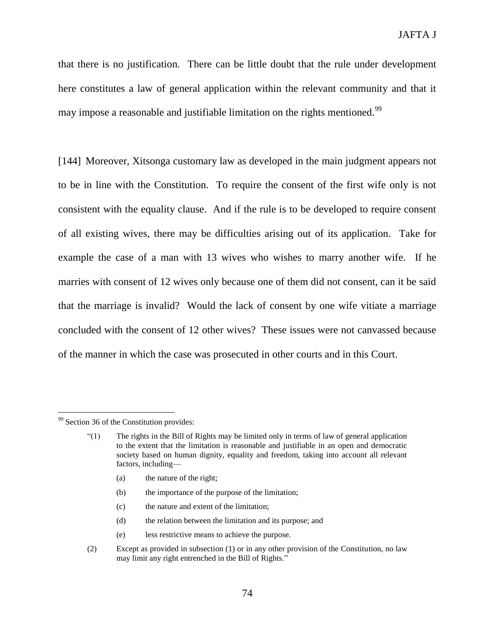that there is no justification. There can be little doubt that the rule under development here constitutes a law of general application within the relevant community and that it may impose a reasonable and justifiable limitation on the rights mentioned.<sup>99</sup>

[144] Moreover, Xitsonga customary law as developed in the main judgment appears not to be in line with the Constitution. To require the consent of the first wife only is not consistent with the equality clause. And if the rule is to be developed to require consent of all existing wives, there may be difficulties arising out of its application. Take for example the case of a man with 13 wives who wishes to marry another wife. If he marries with consent of 12 wives only because one of them did not consent, can it be said that the marriage is invalid? Would the lack of consent by one wife vitiate a marriage concluded with the consent of 12 other wives? These issues were not canvassed because of the manner in which the case was prosecuted in other courts and in this Court.

- (a) the nature of the right;
- (b) the importance of the purpose of the limitation;
- (c) the nature and extent of the limitation;
- (d) the relation between the limitation and its purpose; and
- (e) less restrictive means to achieve the purpose.
- (2) Except as provided in subsection (1) or in any other provision of the Constitution, no law may limit any right entrenched in the Bill of Rights."

<sup>&</sup>lt;sup>99</sup> Section 36 of the Constitution provides:

<sup>&</sup>quot;(1) The rights in the Bill of Rights may be limited only in terms of law of general application to the extent that the limitation is reasonable and justifiable in an open and democratic society based on human dignity, equality and freedom, taking into account all relevant factors, including—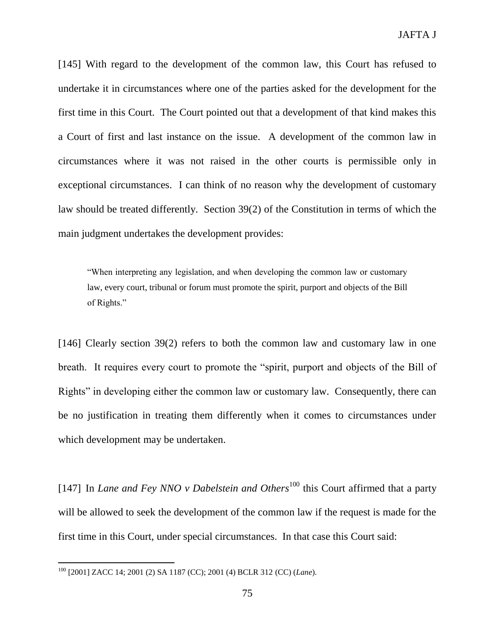[145] With regard to the development of the common law, this Court has refused to undertake it in circumstances where one of the parties asked for the development for the first time in this Court. The Court pointed out that a development of that kind makes this a Court of first and last instance on the issue. A development of the common law in circumstances where it was not raised in the other courts is permissible only in exceptional circumstances. I can think of no reason why the development of customary law should be treated differently. Section 39(2) of the Constitution in terms of which the main judgment undertakes the development provides:

"When interpreting any legislation, and when developing the common law or customary law, every court, tribunal or forum must promote the spirit, purport and objects of the Bill of Rights."

[146] Clearly section 39(2) refers to both the common law and customary law in one breath. It requires every court to promote the "spirit, purport and objects of the Bill of Rights" in developing either the common law or customary law. Consequently, there can be no justification in treating them differently when it comes to circumstances under which development may be undertaken.

[147] In *Lane and Fey NNO v Dabelstein and Others*<sup>100</sup> this Court affirmed that a party will be allowed to seek the development of the common law if the request is made for the first time in this Court, under special circumstances. In that case this Court said:

<sup>100</sup> [2001] ZACC 14; 2001 (2) SA 1187 (CC); 2001 (4) BCLR 312 (CC) (*Lane*).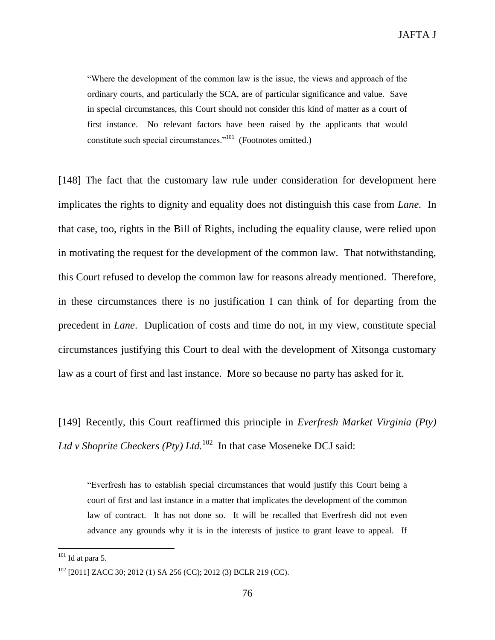"Where the development of the common law is the issue, the views and approach of the ordinary courts, and particularly the SCA, are of particular significance and value. Save in special circumstances, this Court should not consider this kind of matter as a court of first instance. No relevant factors have been raised by the applicants that would constitute such special circumstances."<sup>101</sup> (Footnotes omitted.)

[148] The fact that the customary law rule under consideration for development here implicates the rights to dignity and equality does not distinguish this case from *Lane.* In that case, too, rights in the Bill of Rights, including the equality clause, were relied upon in motivating the request for the development of the common law. That notwithstanding, this Court refused to develop the common law for reasons already mentioned. Therefore, in these circumstances there is no justification I can think of for departing from the precedent in *Lane*. Duplication of costs and time do not, in my view, constitute special circumstances justifying this Court to deal with the development of Xitsonga customary law as a court of first and last instance. More so because no party has asked for it.

[149] Recently, this Court reaffirmed this principle in *Everfresh Market Virginia (Pty) Ltd v Shoprite Checkers (Pty) Ltd.*<sup>102</sup> In that case Moseneke DCJ said:

"Everfresh has to establish special circumstances that would justify this Court being a court of first and last instance in a matter that implicates the development of the common law of contract. It has not done so. It will be recalled that Everfresh did not even advance any grounds why it is in the interests of justice to grant leave to appeal. If

 $101$  Id at para 5.

<sup>102</sup> [2011] ZACC 30; 2012 (1) SA 256 (CC); 2012 (3) BCLR 219 (CC).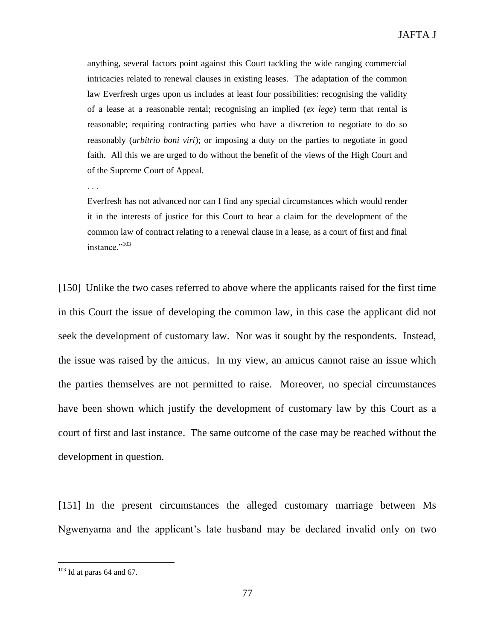anything, several factors point against this Court tackling the wide ranging commercial intricacies related to renewal clauses in existing leases. The adaptation of the common law Everfresh urges upon us includes at least four possibilities: recognising the validity of a lease at a reasonable rental; recognising an implied (*ex lege*) term that rental is reasonable; requiring contracting parties who have a discretion to negotiate to do so reasonably (*arbitrio boni viri*); or imposing a duty on the parties to negotiate in good faith. All this we are urged to do without the benefit of the views of the High Court and of the Supreme Court of Appeal.

. . .

Everfresh has not advanced nor can I find any special circumstances which would render it in the interests of justice for this Court to hear a claim for the development of the common law of contract relating to a renewal clause in a lease, as a court of first and final instance."<sup>103</sup>

[150] Unlike the two cases referred to above where the applicants raised for the first time in this Court the issue of developing the common law, in this case the applicant did not seek the development of customary law. Nor was it sought by the respondents. Instead, the issue was raised by the amicus. In my view, an amicus cannot raise an issue which the parties themselves are not permitted to raise. Moreover, no special circumstances have been shown which justify the development of customary law by this Court as a court of first and last instance. The same outcome of the case may be reached without the development in question.

[151] In the present circumstances the alleged customary marriage between Ms Ngwenyama and the applicant's late husband may be declared invalid only on two

 $103$  Id at paras 64 and 67.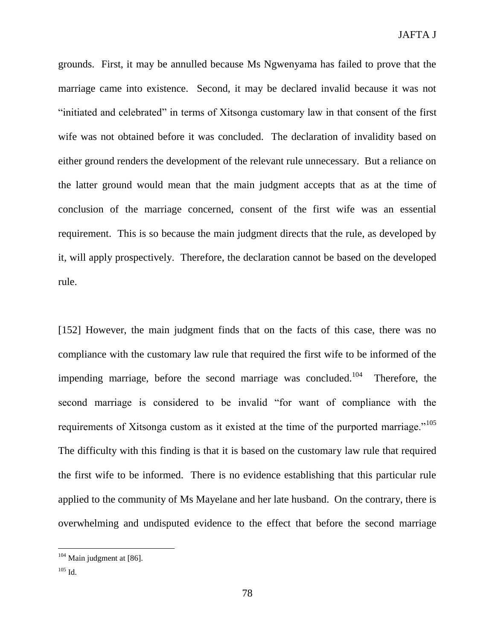grounds. First, it may be annulled because Ms Ngwenyama has failed to prove that the marriage came into existence. Second, it may be declared invalid because it was not "initiated and celebrated" in terms of Xitsonga customary law in that consent of the first wife was not obtained before it was concluded. The declaration of invalidity based on either ground renders the development of the relevant rule unnecessary. But a reliance on the latter ground would mean that the main judgment accepts that as at the time of conclusion of the marriage concerned, consent of the first wife was an essential requirement. This is so because the main judgment directs that the rule, as developed by it, will apply prospectively. Therefore, the declaration cannot be based on the developed rule.

[152] However, the main judgment finds that on the facts of this case, there was no compliance with the customary law rule that required the first wife to be informed of the impending marriage, before the second marriage was concluded.<sup>104</sup> Therefore, the second marriage is considered to be invalid "for want of compliance with the requirements of Xitsonga custom as it existed at the time of the purported marriage."<sup>105</sup> The difficulty with this finding is that it is based on the customary law rule that required the first wife to be informed. There is no evidence establishing that this particular rule applied to the community of Ms Mayelane and her late husband. On the contrary, there is overwhelming and undisputed evidence to the effect that before the second marriage

 $104$  Main judgment at [86].

 $^{105}$  Id.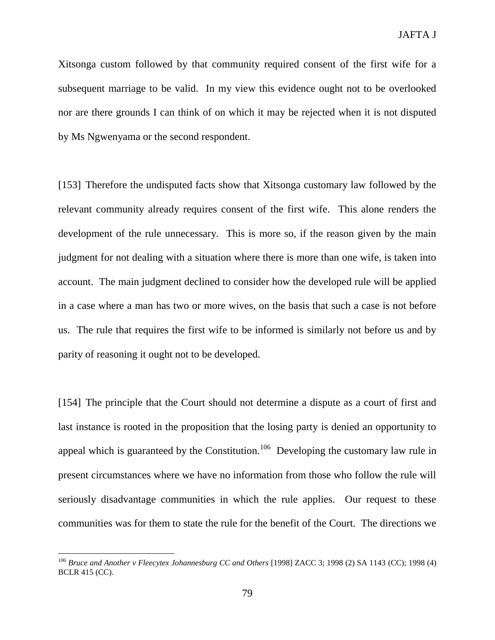Xitsonga custom followed by that community required consent of the first wife for a subsequent marriage to be valid. In my view this evidence ought not to be overlooked nor are there grounds I can think of on which it may be rejected when it is not disputed by Ms Ngwenyama or the second respondent.

[153] Therefore the undisputed facts show that Xitsonga customary law followed by the relevant community already requires consent of the first wife. This alone renders the development of the rule unnecessary. This is more so, if the reason given by the main judgment for not dealing with a situation where there is more than one wife, is taken into account. The main judgment declined to consider how the developed rule will be applied in a case where a man has two or more wives, on the basis that such a case is not before us. The rule that requires the first wife to be informed is similarly not before us and by parity of reasoning it ought not to be developed.

[154] The principle that the Court should not determine a dispute as a court of first and last instance is rooted in the proposition that the losing party is denied an opportunity to appeal which is guaranteed by the Constitution.<sup>106</sup> Developing the customary law rule in present circumstances where we have no information from those who follow the rule will seriously disadvantage communities in which the rule applies. Our request to these communities was for them to state the rule for the benefit of the Court. The directions we

<sup>106</sup> *Bruce and Another v Fleecytex Johannesburg CC and Others* [1998] ZACC 3; 1998 (2) SA 1143 (CC); 1998 (4) BCLR 415 (CC).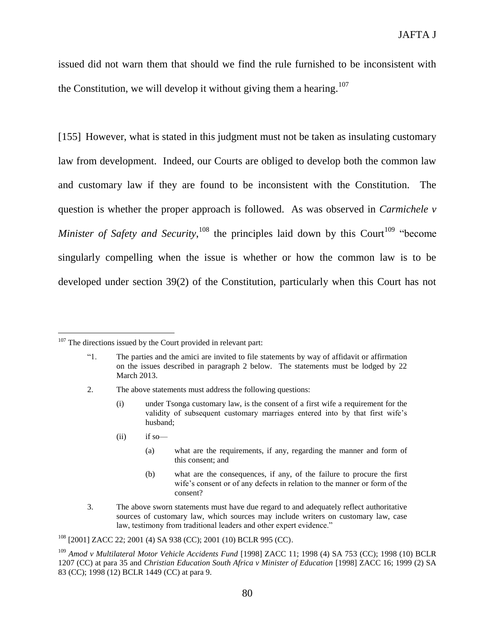issued did not warn them that should we find the rule furnished to be inconsistent with the Constitution, we will develop it without giving them a hearing.<sup>107</sup>

[155] However, what is stated in this judgment must not be taken as insulating customary law from development. Indeed, our Courts are obliged to develop both the common law and customary law if they are found to be inconsistent with the Constitution. The question is whether the proper approach is followed. As was observed in *Carmichele v Minister of Safety and Security*,  $^{108}$  the principles laid down by this Court<sup>109</sup> "become" singularly compelling when the issue is whether or how the common law is to be developed under section 39(2) of the Constitution, particularly when this Court has not

- 2. The above statements must address the following questions:
	- (i) under Tsonga customary law, is the consent of a first wife a requirement for the validity of subsequent customary marriages entered into by that first wife's husband;
	- $(ii)$  if so —

- (a) what are the requirements, if any, regarding the manner and form of this consent; and
- (b) what are the consequences, if any, of the failure to procure the first wife's consent or of any defects in relation to the manner or form of the consent?
- 3. The above sworn statements must have due regard to and adequately reflect authoritative sources of customary law, which sources may include writers on customary law, case law, testimony from traditional leaders and other expert evidence."

 $107$  The directions issued by the Court provided in relevant part:

<sup>&</sup>quot;1. The parties and the amici are invited to file statements by way of affidavit or affirmation on the issues described in paragraph 2 below. The statements must be lodged by 22 March 2013.

<sup>108</sup> [2001] ZACC 22; 2001 (4) SA 938 (CC); 2001 (10) BCLR 995 (CC).

<sup>&</sup>lt;sup>109</sup> Amod v Multilateral Motor Vehicle Accidents Fund [1998] ZACC 11; 1998 (4) SA 753 (CC); 1998 (10) BCLR 1207 (CC) at para 35 and *Christian Education South Africa v Minister of Education* [1998] ZACC 16; 1999 (2) SA 83 (CC); 1998 (12) BCLR 1449 (CC) at para 9.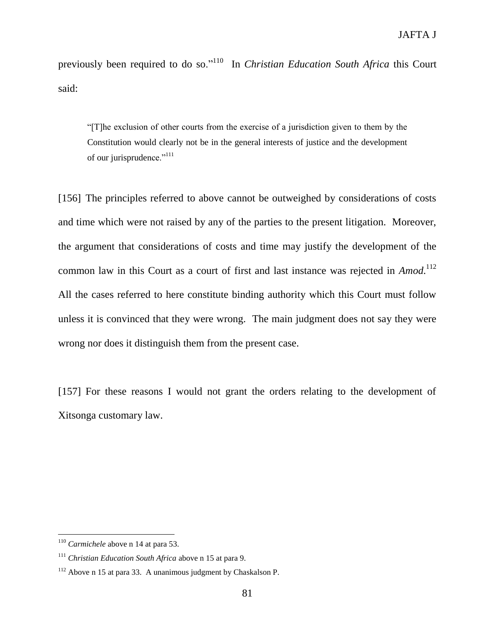previously been required to do so."<sup>110</sup> In *Christian Education South Africa* this Court said:

"[T]he exclusion of other courts from the exercise of a jurisdiction given to them by the Constitution would clearly not be in the general interests of justice and the development of our jurisprudence."<sup>111</sup>

[156] The principles referred to above cannot be outweighed by considerations of costs and time which were not raised by any of the parties to the present litigation. Moreover, the argument that considerations of costs and time may justify the development of the common law in this Court as a court of first and last instance was rejected in *Amod*.<sup>112</sup> All the cases referred to here constitute binding authority which this Court must follow unless it is convinced that they were wrong. The main judgment does not say they were wrong nor does it distinguish them from the present case.

[157] For these reasons I would not grant the orders relating to the development of Xitsonga customary law.

<sup>110</sup> *Carmichele* above n 14 at para 53.

<sup>111</sup> *Christian Education South Africa* above n 15 at para 9.

 $112$  Above n 15 at para 33. A unanimous judgment by Chaskalson P.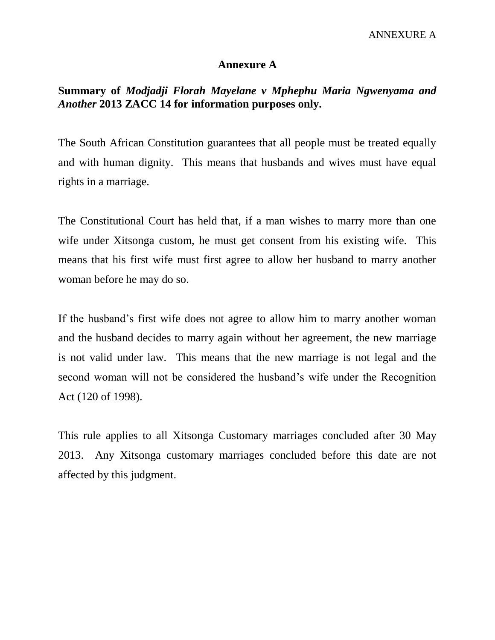## **Annexure A**

## **Summary of** *Modjadji Florah Mayelane v Mphephu Maria Ngwenyama and Another* **2013 ZACC 14 for information purposes only.**

The South African Constitution guarantees that all people must be treated equally and with human dignity. This means that husbands and wives must have equal rights in a marriage.

The Constitutional Court has held that, if a man wishes to marry more than one wife under Xitsonga custom, he must get consent from his existing wife. This means that his first wife must first agree to allow her husband to marry another woman before he may do so.

If the husband's first wife does not agree to allow him to marry another woman and the husband decides to marry again without her agreement, the new marriage is not valid under law. This means that the new marriage is not legal and the second woman will not be considered the husband's wife under the Recognition Act (120 of 1998).

This rule applies to all Xitsonga Customary marriages concluded after 30 May 2013. Any Xitsonga customary marriages concluded before this date are not affected by this judgment.